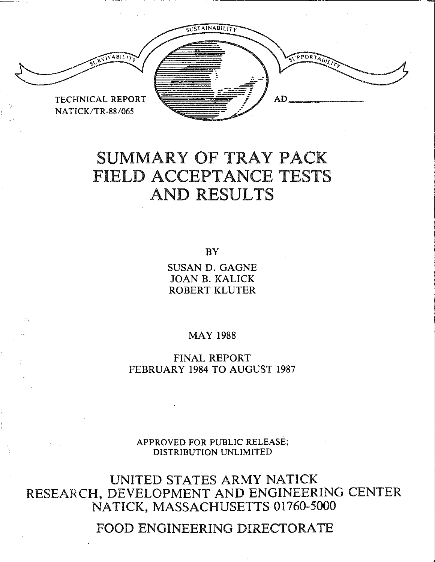

# SUMMARY OF TRAY PACK FIELD ACCEPTANCE TESTS AND RESULTS

BY

SUSAN D. GAGNE JOAN B. KALICK ROBERT KLUTER

MAY 1988

FINAL REPORT FEBRUARY 1984 TO AUGUST 1987

APPROVED FOR PUBLIC RELEASE; DISTRIBUTION UNLIMITED

UNITED STATES ARMY NATICK RESEARCH, DEVELOPMENT AND ENGINEERING CENTER NATICK, MASSACHUSETTS 01760-5000

FOOD ENGINEERING DIRECTORATE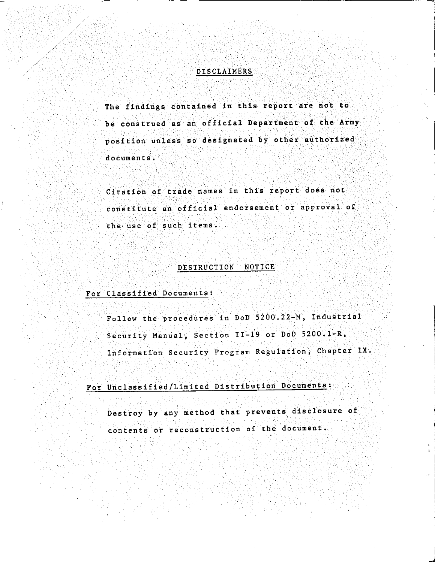#### DISCLAIMERS

The findings contained in this report are not to be construed as an official Department of the Army position unless so designated by other authorized documents,

Citation of trade names in this report does not constitute an official endorsement or approval of the use of such items.

#### DESTRUCTION NOTICE

#### For Classified Documents:

Follow the procedures in DoD 5200.22-M, Industrial Security Manual, Section II-19 or DoD 5200.1-R, Information Security Program Regulation, Chapter IX.

# For Unclassified/Limited Distribution Documents:

Destroy by any method that prevents disclosure of contents or reconstruction of the document.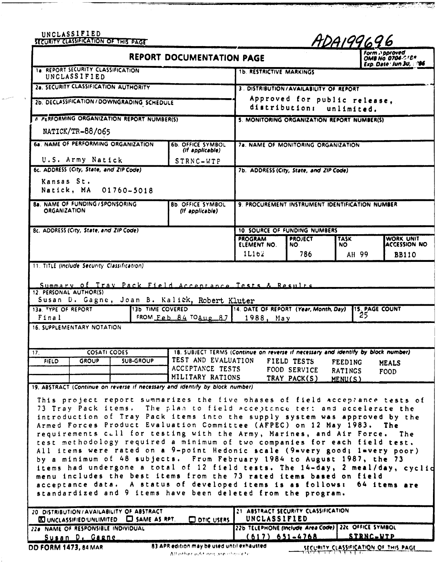|                                                        | <b>UNCLASSIFIED</b><br>SECURITY CLASSIFICATION OF THIS PAGE |                                                                                              |                                                                                                                                                                                                                                                                                                                                                                                                                                                                                                                                                                                                                                                                                                                                                                                                                                                                                                                                                                                                                        |                                                                                                            |                                                 | ADA199696                                   |                                   |
|--------------------------------------------------------|-------------------------------------------------------------|----------------------------------------------------------------------------------------------|------------------------------------------------------------------------------------------------------------------------------------------------------------------------------------------------------------------------------------------------------------------------------------------------------------------------------------------------------------------------------------------------------------------------------------------------------------------------------------------------------------------------------------------------------------------------------------------------------------------------------------------------------------------------------------------------------------------------------------------------------------------------------------------------------------------------------------------------------------------------------------------------------------------------------------------------------------------------------------------------------------------------|------------------------------------------------------------------------------------------------------------|-------------------------------------------------|---------------------------------------------|-----------------------------------|
|                                                        |                                                             |                                                                                              | <b>REPORT DOCUMENTATION PAGE</b>                                                                                                                                                                                                                                                                                                                                                                                                                                                                                                                                                                                                                                                                                                                                                                                                                                                                                                                                                                                       |                                                                                                            |                                                 |                                             | Form Approved<br>OMB NO 0704-018A |
|                                                        | 1a. REPORT SECURITY CLASSIFICATION<br>UNCLASSIFIED          |                                                                                              |                                                                                                                                                                                                                                                                                                                                                                                                                                                                                                                                                                                                                                                                                                                                                                                                                                                                                                                                                                                                                        | <b>1b. RESTRICTIVE MARKINGS</b>                                                                            |                                                 |                                             | Exp. Date: Jun 30, 196            |
|                                                        |                                                             | 2a. SECURITY CLASSIFICATION AUTHORITY                                                        |                                                                                                                                                                                                                                                                                                                                                                                                                                                                                                                                                                                                                                                                                                                                                                                                                                                                                                                                                                                                                        |                                                                                                            | 3. DISTRIBUTION/AVAILABILITY OF REPORT          |                                             |                                   |
|                                                        |                                                             | 2b. DECLASSIFICATION/DOWNGRADING SCHEDULE                                                    |                                                                                                                                                                                                                                                                                                                                                                                                                                                                                                                                                                                                                                                                                                                                                                                                                                                                                                                                                                                                                        |                                                                                                            | Approved for public release,<br>distribution:   | unlimited.                                  |                                   |
|                                                        |                                                             | A PERFORMING ORGANIZATION REPORT NUMBER(S)                                                   |                                                                                                                                                                                                                                                                                                                                                                                                                                                                                                                                                                                                                                                                                                                                                                                                                                                                                                                                                                                                                        |                                                                                                            | 5. MONITORING ORGANIZATION REPORT NUMBER(S)     |                                             |                                   |
|                                                        | NATICK/TR-88/065                                            |                                                                                              |                                                                                                                                                                                                                                                                                                                                                                                                                                                                                                                                                                                                                                                                                                                                                                                                                                                                                                                                                                                                                        |                                                                                                            |                                                 |                                             |                                   |
|                                                        |                                                             | 6a NAME OF PERFORMING ORGANIZATION                                                           | <b>6b. OFFICE SYMBOL</b><br>(If applicable)                                                                                                                                                                                                                                                                                                                                                                                                                                                                                                                                                                                                                                                                                                                                                                                                                                                                                                                                                                            |                                                                                                            | 78. NAME OF MONITORING ORGANIZATION             |                                             |                                   |
|                                                        | U.S. Army Natick                                            |                                                                                              | STRNC-WTP                                                                                                                                                                                                                                                                                                                                                                                                                                                                                                                                                                                                                                                                                                                                                                                                                                                                                                                                                                                                              |                                                                                                            |                                                 |                                             |                                   |
| Kansas St.                                             | 6c. ADDRESS (City, State, and ZIP Code)                     | Natick, MA 01760-5018                                                                        |                                                                                                                                                                                                                                                                                                                                                                                                                                                                                                                                                                                                                                                                                                                                                                                                                                                                                                                                                                                                                        |                                                                                                            | 7b. ADDRESS (City, State, and ZIP Code)         |                                             |                                   |
| <b>ORGANIZATION</b>                                    | <b>8a. NAME OF FUNDING / SPONSORING</b>                     |                                                                                              | <b>8b. OFFICE SYMBOL</b><br>(If applicable)                                                                                                                                                                                                                                                                                                                                                                                                                                                                                                                                                                                                                                                                                                                                                                                                                                                                                                                                                                            |                                                                                                            | 9. PROCUREMENT INSTRUMENT IDENTIFICATION NUMBER |                                             |                                   |
|                                                        | 8c. ADDRESS (City, State, and ZIP Code)                     |                                                                                              |                                                                                                                                                                                                                                                                                                                                                                                                                                                                                                                                                                                                                                                                                                                                                                                                                                                                                                                                                                                                                        |                                                                                                            | <b>10. SOURCE OF FUNDING NUMBERS</b>            |                                             |                                   |
|                                                        |                                                             |                                                                                              |                                                                                                                                                                                                                                                                                                                                                                                                                                                                                                                                                                                                                                                                                                                                                                                                                                                                                                                                                                                                                        | <b>PROGRAM</b><br>ELEMENT NO.                                                                              | <b>PROJECT</b><br>NO.                           | <b>TASK</b><br>NO.                          | WORK UNIT<br><b>ACCESSION NO</b>  |
|                                                        |                                                             |                                                                                              |                                                                                                                                                                                                                                                                                                                                                                                                                                                                                                                                                                                                                                                                                                                                                                                                                                                                                                                                                                                                                        | 1L162                                                                                                      | 786                                             | AH 99                                       | <b>BB110</b>                      |
| 12. PERSONAL AUTHOR(S)<br>13a. TYPE OF REPORT<br>Final | <b>16. SUPPLEMENTARY NOTATION</b>                           |                                                                                              | Summary of Tray Pack Field Acceptance Tests & Results<br>Susan D. Gagne, Joan B. Kalick, Robert Kluter<br>13b TIME COVERED<br>FROM Feb $84$ $704$ ug $87$ 1988, May                                                                                                                                                                                                                                                                                                                                                                                                                                                                                                                                                                                                                                                                                                                                                                                                                                                    | 14. DATE OF REPORT (Year, Month, Day)                                                                      |                                                 | <b>15. PAGE COUNT</b><br>25                 |                                   |
| 17 <sub>1</sub><br><b>FIELD</b>                        | <b>COSATI CODES</b><br><b>GROUP</b>                         | <b>SUB-GROUP</b>                                                                             | 18. SUBJECT TERMS (Continue on reverse if necessary and identify by block number)<br>TEST AND EVALUATION                                                                                                                                                                                                                                                                                                                                                                                                                                                                                                                                                                                                                                                                                                                                                                                                                                                                                                               |                                                                                                            | FIELD TESTS                                     |                                             |                                   |
|                                                        |                                                             |                                                                                              | ACCEPTANCE TESTS<br>MILITARY RATIONS                                                                                                                                                                                                                                                                                                                                                                                                                                                                                                                                                                                                                                                                                                                                                                                                                                                                                                                                                                                   |                                                                                                            | FOOD SERVICE<br>TRAY PACK(S)                    | <b>FEEDING</b><br><b>RATINGS</b><br>MENU(S) | <b>MEALS</b><br>FOOD              |
|                                                        |                                                             | 20 DISTRIBUTION/AVAILABILITY OF ABSTRACT<br><b>XI UNCLASSIFIED/UNLIMITED CJ</b> SAME AS RPT. | 19. ABSTRACT (Continue on reverse if necessary and identify by block number)<br>This project report summarizes the five phases of field acceptance tests of<br>73 Tray Pack items. The plan to field acceptance test and accelerate the<br>introduction of Tray Pack items into the supply system was approved by the<br>Armed Forces Product Evaluation Committee (AFPEC) on 12 May 1983.<br>requirements cull for testing with the Army, Marines, and Air Force.<br>test methodology required a minimum of two companies for each field test.<br>All items were rated on a 9-point Hedonic scale (9=very good; 1=very poor)<br>by a minimum of 48 subjects. From February 1984 to August 1987, the 73<br>items had undergone a total of 12 field tests. The 14-day, 2 meal/day, cyclid<br>menu includes the best items from the 73 rated items based on field<br>acceptance data. A status of developed items is as follows:<br>standardized and 9 items have been deleted from the program.<br><b>OD DTIC USERS</b> | 21 ABSTRACT SECURITY CLASSIFICATION<br>UNCLASSIFIED<br>22b TELEPHONE (Include Area Code) 22c OFFICE SYMBOL |                                                 |                                             | The<br>The<br>64 items are        |
|                                                        | 220. NAME OF RESPONSIBLE INDIVIDUAL<br>Susan D. Gagne       |                                                                                              |                                                                                                                                                                                                                                                                                                                                                                                                                                                                                                                                                                                                                                                                                                                                                                                                                                                                                                                                                                                                                        | $(617) 651 - 4768$                                                                                         |                                                 | STRNC-WTP                                   |                                   |
| DD FORM 1473, 84 MAR                                   |                                                             |                                                                                              | 83 APR edition may be used until exhausted.                                                                                                                                                                                                                                                                                                                                                                                                                                                                                                                                                                                                                                                                                                                                                                                                                                                                                                                                                                            |                                                                                                            |                                                 | SECURITY CLASSIFICATION OF THIS PAGE        |                                   |

 $\sim$ 

والمستنصب

**न स्वयं नय**े राष्ट्रपत्नातु <del>चन्नानः ।</del><br>जन्म

والمتوافقة

an an Aonaichte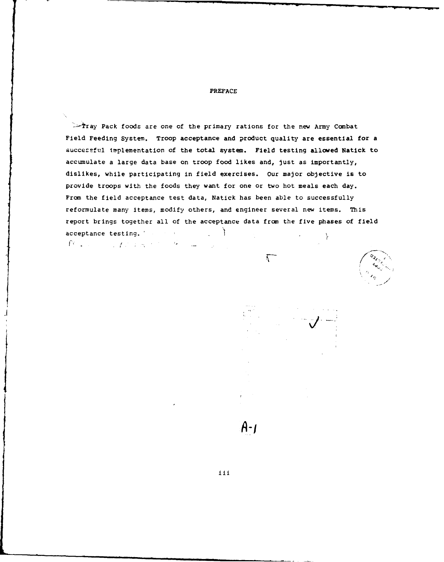#### PREFACE

 $\ge$ -Tray Pack foods are one of the primary rations for the new Army Combat Field Feeding System. Troop acceptance and product quality are essential for a successful implementation of the total system. Field testing allowed Natick to accumulate a large data base on troop food likes and, just as importantly, dislikes, while participating in field exercises. Our major objective is to provide troops with the foods they want for one or two hot meals each day. From the field acceptance test data, Natick has been able to successfully reformulate many items, modify others, and engineer several new items. This report brings together all of the acceptance data from the five phases of field acceptance testing. *racceptance* testing. *racceptance* testing. *rate*  $\mathcal{D}(\mathcal{L}(\mathcal{L})) = \mathcal{L}(\mathcal{L}(\mathcal{L}(\mathcal{L})) \times \mathcal{L}(\mathcal{L}(\mathcal{L})) = \mathcal{L}(\mathcal{L}(\mathcal{L}))$ 

 $\lambda$  . The set of  $\lambda$  is the set of  $\lambda$ 





 $A - I$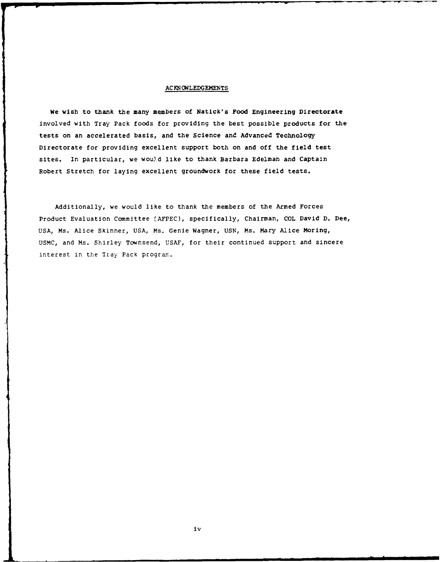#### ACKNOWLEDGEMENTS

We wish to thank the many members of Natick's Food Engineering Directorate involved with Tray Pack foods for providing the best possible products for the tests on an accelerated basis, and the Science and Advanced Technology Directorate for providing excellent support both on and off the field test sites. In particular, we would like to thank Barbara Edelman and Captain Robert Stretch for laying excellent groundwork for these field tests.

Additionally, we would like to thank the members of the Armed Forces Product Evaluation Committee **(AFPEC),** specifically, Chairman, **COL** David **D.** Dee, USA, Ms. Alice Skinner, USA, Ms. Genie Wagner, USN, Ms. Mary Alice Moring, USMC, and Ms. Shirley Townsend, USAF, for their continued support and sincere interest in the Tray Pack program..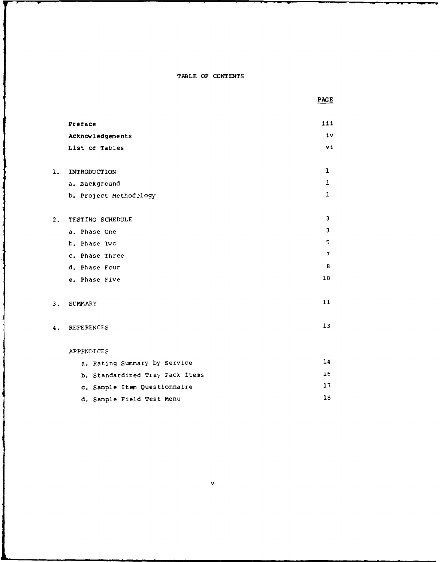TABLE OF CONTENTS

j

 $\overline{\mathbf{1}}$ 

 $\ddot{\ddot{\mathrm{}}}$ 

I

 $\overline{\mathcal{L}}$ 

|    |                                 | PAGE           |
|----|---------------------------------|----------------|
|    | Preface                         | 111            |
|    | Acknowledgements                | iv             |
|    | List of Tables                  | v1             |
| 1. | INTRODUCTION                    | 1              |
|    | a. Background                   | ı              |
|    | b. Project Methodology          | $\mathbf{1}$   |
| 2. | TESTING SCHEDULE                | 3              |
|    | a. Phase One                    | 3              |
|    | b. Phase Two                    | 5              |
|    | c. Phase Three                  | $\overline{7}$ |
|    | d. Phase Four                   | 8              |
|    | e. Phase Five                   | 10             |
| 3. | <b>SUMMARY</b>                  | 11             |
| 4. | <b>REFERENCES</b>               | 13             |
|    | <b>APPENDICES</b>               |                |
|    | a. Rating Summary by Service    | 14             |
|    | b. Standardized Tray Pack Items | 16             |
|    | c. Sample Item Questionnaire    | 17             |
|    | d. Sample Field Test Menu       | 18             |

**v**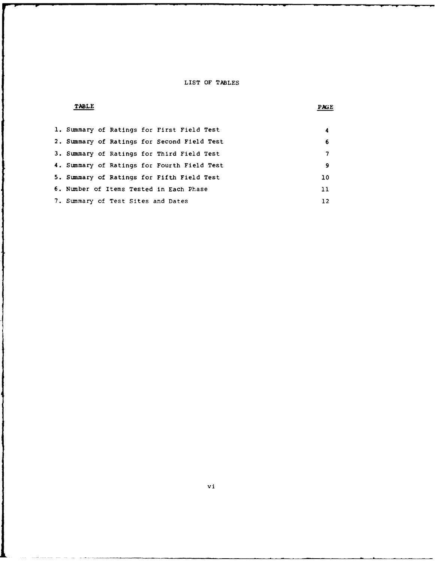#### LIST OF TABLES

#### TABLE **PAGE**

ļ

ł

١

Ł

|  |                                    | 1. Summary of Ratings for First Field Test  | 4  |
|--|------------------------------------|---------------------------------------------|----|
|  |                                    | 2. Summary of Ratings for Second Field Test | 6  |
|  |                                    | 3. Summary of Ratings for Third Field Test  | 7  |
|  |                                    | 4. Summary of Ratings for Fourth Field Test | 9  |
|  |                                    | 5. Summary of Ratings for Fifth Field Test  | 10 |
|  |                                    | 6. Number of Items Tested in Each Phase     | 11 |
|  | 7. Summary of Test Sites and Dates |                                             | 12 |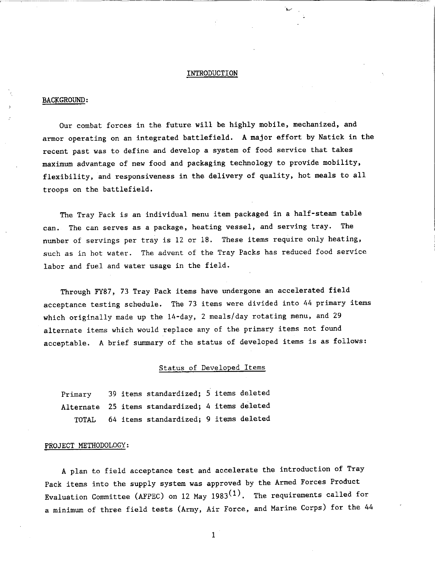#### INTRODUCTION

#### BACKGROUND:

Our combat forces in the future will be highly mobile, mechanized, and armor operating on an integrated battlefield. A major effort by Natick in the recent past was to define and develop a system of food service that takes maximum advantage of new food and packaging technology to provide mobility, flexibility, and responsiveness in the delivery of quality, hot meals to all troops on the battlefield.

The Tray Pack is an individual menu item packaged in a half-steam table can. The can serves as <sup>a</sup>package, heating vessel, and serving tray. The number of servings per tray is 12 or 18. These items require only heating, such as in hot water. The advent of the Tray Packs has reduced food service labor and fuel and water usage in the field.

Through FY87, 73 Tray Pack items have undergone an accelerated field acceptance testing schedule. The 73 items were divided into 44 primary items which originally made up the 14-day, 2 meals/day rotating menu, and <sup>29</sup> alternate items which would replace any of the primary items not found acceptable. A brief summary of the status of developed items is as follows:

### Status of Developed Items

| Primary |  | 39 items standardized; 5 items deleted           |  |  |
|---------|--|--------------------------------------------------|--|--|
|         |  | Alternate 25 items standardized; 4 items deleted |  |  |
| TOTAL   |  | 64 items standardized; 9 items deleted           |  |  |

#### PROJECT METHODOLOGY:

<sup>A</sup>plan to field acceptance test and accelerate the introduction of Tray Pack items into the supply system was approved by the Armed Forces Product Evaluation Committee (AFPEC) on 12 May 1983 $(1)$ . The requirements called for a minimum of three field tests (Army, Air Force, and Marine Corps) for the <sup>44</sup>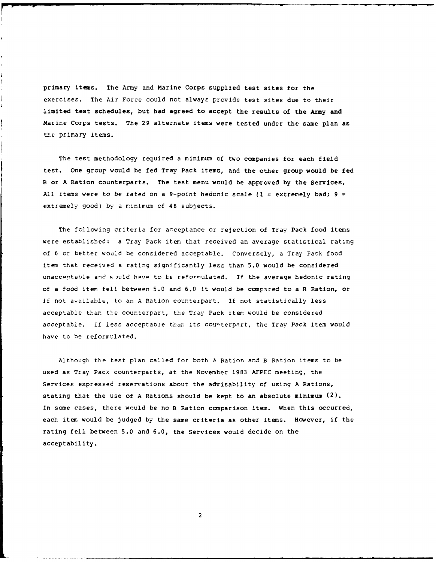primary items. The Army and Marine Corps supplied test sites for the exercises. The Air Force could not always provide test sites due to their limited test schedules, but had agreed to accept the results of the Army and Marine Corps tests. The 29 alternate items were tested under the same plan as the primary items.

The test methodology required a minimum of two companies for each field test. One group would be fed Tray Pack items, and the other group would be fed B or A Ration counterparts. The test menu would be approved by the Services. **All** items were to be rated on a 9-point hedonic scale **(1 =** extremely bad; **9** *=* extremely good) by a minimum of 48 subjects.

The following criteria for acceptance or rejection of Tray Pack food items were established: a Tray Pack item that received an average statistical rating of 6 or better would be considered acceptable. Conversely, a Tray Pack food item that received a rating significantly less than 5.0 would be considered unacceptable and would have to be reformulated. If the average hedonic rating of a food item fell between 5.0 and 6.0 it would be compared to a B Ration, or if not available, to an A Ration counterpart. If not statistically less acceptable than the counterpart, the Tray Pack item would be considered acceptable. If less acceptable than its courterpart, the Tray Pack item would have to be reformulated.

Although the test plan called for both A Ration and B Ration items to be used as Tray Pack counterparts, at the November 1983 AFPEC meeting, the Services expressed reservations about the advisability of using A Rations, stating that the use of A Rations should be kept to an absolute minimum  $(2)$ . In some cases, there would be no B Ration comparison item. When this occurred, each item would be judged by the same criteria as other items. However, if the rating fell between 5.0 and 6.0, the Services would decide on the acceptability.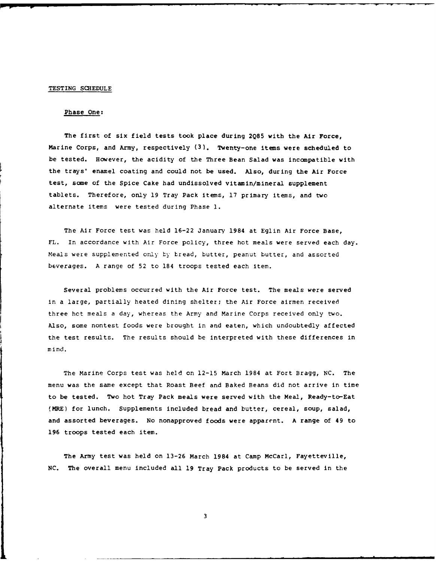#### TESTING **SCHEDULE**

#### Phase One:

The first of six field tests took place during **2Q85** with the Air Force, Marine Corps, and Army, respectively **(3).** Twenty-one items were scheduled to be tested. However, the acidity of the Three Bean Salad was incompatible with the trays' enamel coating and could not be used. Also, during the Air Force test, some of the Spice Cake had undissolved vitamin/mineral supplement tablets. Therefore, only 19 Tray Pack items, 17 primary items, and two alternate items were tested during Phase **1.**

The Air Force test was held 16-22 January 1984 at Eglin Air Force Base, FL. In accordance with Air Force policy, three hot meals were served each day. Meals were supplemented only by tread, butter, peanut butter, and assorted beverages. A range of 52 to 184 troops tested each item.

Several problems occurred with the Air Force test. The meals were served in a large, partially heated dining shelter; the Air Force airmen received three hot meals a day, whereas the Army and Marine Corps received only two. Also, some nontest foods were brought in and eaten, which undoubtedly affected the test results. The results should be interpreted with these differences in mind.

The Marine Corps test was held on 12-15 March 1984 at Fort Bragg, NC. The menu was the same except that Roast Beef and Baked Beans did not arrive in time to be tested. Two hot Tray Pack meals were served with the Meal, Ready-to-Eat (MRE) for lunch. Supplements included bread and butter, cereal, soup, salad, and assorted beverages. No nonapproved foods were apparent. A range of 49 to 196 troops tested each item.

The Army test was held on 13-26 March 1984 at Camp McCarl, Fayetteville, NC. The overall menu included all 19 Tray Pack products to be served in the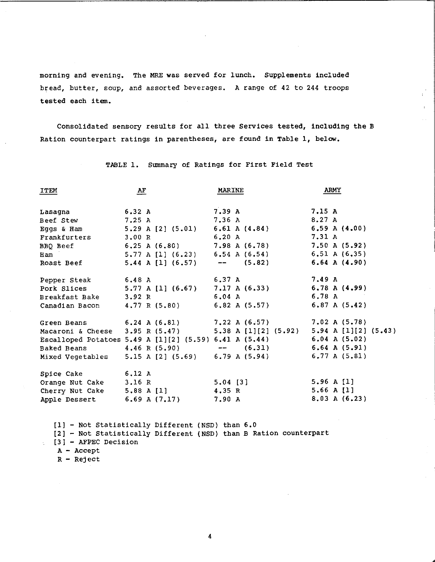morning and evening. The MRE was served for lunch. Supplements included bread, butter, soup, and assorted beverages. A range of 42 to 244 troops tested each item.

Consolidated sensory results for all three Services tested, including the <sup>B</sup> Ration counterpart ratings in parentheses, are found in Table 1, below.

ARMY ITEM AF MARINE 7.15 A 6.32 A 7.39 A Lasagna 8.27 A Beef Stew 7.25 A 7.36 A 5.29 A [2] (5.01) 6.61 A (4.84) 6.59 A (4.00) Eggs & Ham 7.31 A Frankfurters 3.00 R 6.20 A 6.25 A (6.80) 7.98 A (6. 78) 7.50 A (5.92) BBQ Beef 6.54 A (6.54) 6.51 A (6.35) 5.77 A [1] (6.23) Ham 6.64 A (4.90) Roast Beef 5.44 A [1] (6.57)  $\overline{\phantom{a}}$  $(5.82)$ Pepper Steak 6.48 A 6.37 A 7.49 A 5.77 A [1] (6.67) 7.17 A (6.33) 6.78 A (4.99) Pork Slices 6.04 A 6. 78 A Breakfast Bake 3.92 R 6.82 A (5.57) 6.87 A (5.42) Canadian Bacon 4.77 R (5.80)

TABLE 1. Summary of Ratings for First Field Test

| Green Beans $6.24$ A $(6.81)$                          |            |                  | $7.22 \text{ A} (6.57)$                              | 7.02 A (5.78)        |
|--------------------------------------------------------|------------|------------------|------------------------------------------------------|----------------------|
|                                                        |            |                  | Macaroni & Cheese 3.95 R (5.47) 5.38 A [1][2] (5.92) | 5.94 A [1][2] (5.43) |
| Escalloped Potatoes 5.49 A [1][2] (5.59) 6.41 A (5.44) |            |                  |                                                      | $6.04$ A $(5.02)$    |
| Baked Beans                                            |            | $4.46 \ R(5.90)$ | $--$ (6.31)                                          | $6.64$ A $(5.91)$    |
| Mixed Vegetables                                       |            |                  | $5.15$ A $[2]$ $(5.69)$ 6.79 A $(5.94)$              | 6.77 A (5.81)        |
| Spice Cake                                             | 6.12 A     |                  |                                                      |                      |
| Orange Nut Cake                                        | 3.16 R     |                  | $5.04$ [3]                                           | 5.96 A $[1]$         |
| Cherry Nut Cake                                        | 5.88 A [1] |                  | 4.35 R                                               | 5.66 A $[1]$         |
| Apple Dessert                                          |            | 6.69 A $(7.17)$  | 7.90 A                                               | 8.03 A (6.23)        |

[1] - Not Statistically Different (NSD) than 6.0 [2] - Not Statistically Different (NSD) than B Ration counterpart [3] - AFPEC Decision

- $A Accept$
- $R Refect$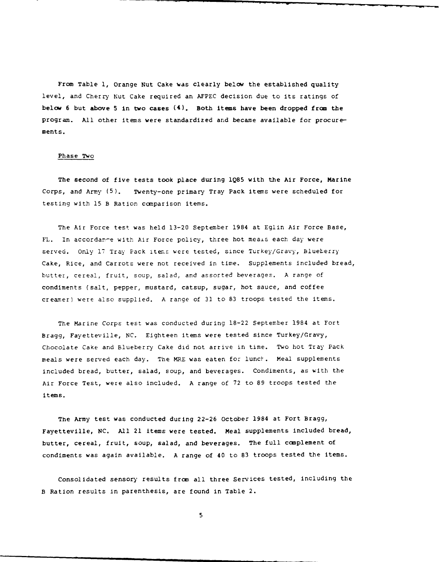From Table **1,** Orange Nut Cake was clearly below the established quality level, and Cherry Nut Cake required an AFPEC decision due to its ratings of below 6 but above **5** in two cases (4). Both items have been dropped from the program. All other items were standardized and became available for procurements.

#### Phase Two

The second of five tests took place during 1Q85 with the Air Force, Marine Corps, and Army (5). Twenty-one primary Tray Pack items were scheduled for testing with 15 B Ration comparison items.

The Air Force test was held 13-20 September 1984 at Eglin Air Force Base, FL. In accordan-e with Air Force policy, three hot meais each day were served. Only 17 Tray Pack items were tested, since Turkey/Gravy, Blueberry Cake, Rice, and Carrots were not received in time. Supplements included bread, butter, cereal, fruit, soup, salad, and assorted beverages. A range of condiments (salt, pepper, mustard, catsup, sugar, hot sauce, and coffee creamer) were also supplied. A range of 31 to 83 troops tested the items.

The Marine Corps test was conducted during 18-22 September 1984 at Fort Bragg, Fayetteville, NC. Eighteen items were tested since Turkey/Gravy, Chocolate Cake and Blueberry Cake did not arrive in time. Two hot Tray Pack meals were served each day. The MRE was eaten for lunch. Meal supplements included bread, butter, salad, soup, and beverages. Condiments, as with the Air Force Test, were also included. A range of 72 to 89 troops tested the items.

The Army test was conducted during 22-26 October 1984 at Fort Bragg, Fayetteville, NC. All 21 items were tested. Meal supplements included bread, butter, cereal, fruit, soup, salad, and beverages. The full complement of condiments was again available. A range of 40 to 83 troops tested the items.

Consolidated sensory results from all three Services tested, including the B Ration results in parenthesis, are found in Table 2.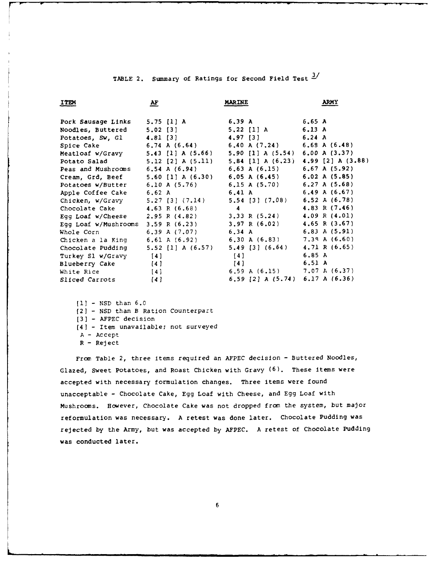| TABLE 2. Summary of Ratings for Second Field Test 2/ |  |  |  |  |
|------------------------------------------------------|--|--|--|--|
|                                                      |  |  |  |  |

| ITEM                                                               | $\mathbf{A}$ F      | <b>MARINE</b>                                                                                                                                                                                                                                                                                                                      | <b>ARMY</b>       |
|--------------------------------------------------------------------|---------------------|------------------------------------------------------------------------------------------------------------------------------------------------------------------------------------------------------------------------------------------------------------------------------------------------------------------------------------|-------------------|
|                                                                    |                     |                                                                                                                                                                                                                                                                                                                                    |                   |
| Pork Sausage Links 5.75 [1] A                                      |                     | 6.39 A                                                                                                                                                                                                                                                                                                                             | 6.65 A            |
| Noodles, Buttered 5.02 [3]                                         |                     | 5.22 [1] A                                                                                                                                                                                                                                                                                                                         | 6.13A             |
| Potatoes, Sw, Gl 4.81 [3]                                          |                     | 4.97 [3]                                                                                                                                                                                                                                                                                                                           | $6.24\;A$         |
| Spice Cake 6.74 A (6.64) 6.40 A (7.24) 6.69 A (6.48)               |                     |                                                                                                                                                                                                                                                                                                                                    |                   |
| Meatloaf w/Gravy 5.43 [1] A (5.66) 5.90 [1] A (5.54) 6.00 A (3.37) |                     |                                                                                                                                                                                                                                                                                                                                    |                   |
| Potato Salad 5.12 [2] A (5.11) 5.84 [1] A (6.23) 4.99 [2] A (3.88) |                     |                                                                                                                                                                                                                                                                                                                                    |                   |
| Peas and Mushrooms $6.54$ A $(6.94)$ $6.53$ A $(6.15)$             |                     |                                                                                                                                                                                                                                                                                                                                    | $6.67$ A (5.92)   |
| Cream, Grd, Beef 5.60 [1] A (6.30) 6.05 A (6.45)                   |                     |                                                                                                                                                                                                                                                                                                                                    | 6.02 A (5.85)     |
| Potatoes w/Butter 6.10 A (5.76) 6.15 A (5.70)                      |                     |                                                                                                                                                                                                                                                                                                                                    | 6.27 A (5.68)     |
| Apple Coffee Cake 6.62 A 6.41 A                                    |                     |                                                                                                                                                                                                                                                                                                                                    | $6.49$ A $(6.67)$ |
| Chicken, w/Gravy 5.27 [3] (7.14) 5.54 [3] (7.08) 6.52 A (6.78)     |                     |                                                                                                                                                                                                                                                                                                                                    |                   |
| Chocolate Cake $4.63 R (6.68)$                                     |                     | $\overline{4}$ and $\overline{4}$ and $\overline{4}$ and $\overline{4}$ and $\overline{4}$ and $\overline{4}$ and $\overline{4}$ and $\overline{4}$ and $\overline{4}$ and $\overline{4}$ and $\overline{4}$ and $\overline{4}$ and $\overline{4}$ and $\overline{4}$ and $\overline{4}$ and $\overline{4}$ and $\overline{4}$ and | 4.83 R $(7.46)$   |
| Egg Loaf w/Cheese 2.95 R (4.82) 3.33 R (5.24)                      |                     |                                                                                                                                                                                                                                                                                                                                    | 4.09 R(4.01)      |
| Egg Loaf w/Mushrooms 3.59 R (6.23) 3.97 R (6.02)                   |                     |                                                                                                                                                                                                                                                                                                                                    | 4.65 R $(3.67)$   |
| Whole Corn 6.39 A $(7.07)$ 6.34 A                                  |                     |                                                                                                                                                                                                                                                                                                                                    | $6.83$ A $(5.91)$ |
| Chicken a la King 6.61 A (6.92) 6.30 A (6.83) 7.38 A (6.60)        |                     |                                                                                                                                                                                                                                                                                                                                    |                   |
| Chocolate Pudding 5.52 [1] A (6.57) 5.49 [3] (6.64)                |                     |                                                                                                                                                                                                                                                                                                                                    | 4.71 R $(6.65)$   |
| Turkey S1 w/Gravy [4]                                              |                     | [4]                                                                                                                                                                                                                                                                                                                                | 6.85A             |
| Blueberry Cake                                                     | $\left\{ 4\right\}$ | $\left\{ 4\right\}$                                                                                                                                                                                                                                                                                                                | 6.51 A            |
| White Rice                                                         | [4]                 | 6.59 A $(6.15)$ 7.07 A $(6.37)$                                                                                                                                                                                                                                                                                                    |                   |
| Sliced Carrots                                                     | [4]                 | 6.59 [2] A $(5.74)$ 6.17 A $(6.36)$                                                                                                                                                                                                                                                                                                |                   |

**[1l** - NSD than 6.0 (2] - NSD than B Ration Counterpart **[3]** - AFPEC decision (4] - Item unavailable; not surveyed **A** - Accept R - Reject

From Table 2, three items required an AFPEC decision - Buttered Noodles, Glazed, Sweet Potatoes, and Roast Chicken with Gravy (6). These items were accepted with necessary formulation changes. Three items were found unacceptable - Chocolate Cake, Egg Loaf with Cheese, and Egg Loaf with Mushrooms. However, Chocolate Cake was not dropped fron the system, but major reformulation was necessary. A retest was done later. Chocolate Pudding was rejected **by** the Army, but was accepted **by AFPEC.** A retest of Chocolate Pudding was conducted later.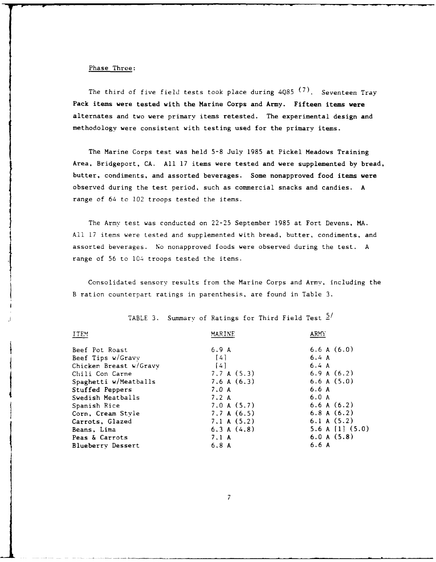#### Phase Three:

The third of five field tests took place during 4Q85 **(7).** Seventeen Tray Pack items were tested with the Marine Corps and Army. Fifteen items were alternates and two were primary items retested. The experimental design and methodology were consistent with testing used for the primary items.

The Marine Corps test was held 5-8 July 1985 at Pickel Meadows Training Area, Bridgeport, CA. All 17 items were tested and were supplemented by bread, butter, condiments, and assorted beverages. Some nonapproved food items were observed during the test period, such as commercial snacks and candies. A range of 64 to 102 troops tested the items.

The Army test was conducted on 22-25 September 1985 at Fort Devens, MA. All 17 items were tested and supplemented with bread, butter, condiments, and assorted beverages. No nonapproved foods were observed during the test. A range of 56 to 104 troops tested the items.

Consolidated sensory results from the Marine Corps and Army, including the B ration counterpart ratings in parenthesis, are found in Table 3.

| <b>ITEM</b>              | MARINE            | ARMY                |
|--------------------------|-------------------|---------------------|
| Beef Pot Roast           | 6.9A              | 6.6 A $(6.0)$       |
| Beef Tips w/Gravv        | $\lceil 4 \rceil$ | 6.4A                |
| Chicken Breast w/Gravy   | $[4]$             | 6.4A                |
| Chili Con Carne          | 7.7 A (5.3)       | 6.9 A $(6.2)$       |
| Spaghetti w/Meatballs    | 7.6A(6.3)         | 6.6 A(5.0)          |
| Stuffed Peppers          | 7.0A              | 6.6 A               |
| Swedish Meatballs        | 7.2A              | 6.0A                |
| Spanish Rice             | 7.0 A(5.7)        | 6.6A(6.2)           |
| Corn, Cream Style        | 7.7 A(6.5)        | 6.8A(6.2)           |
| Carrots, Glazed          | 7.1 A (5.2)       | 6.1 A(5.2)          |
| Beans, Lima              | 6.3 A(4.8)        | 5.6 A $[1]$ $(5.0)$ |
| Peas & Carrots           | 7.1 A             | 6.0 A(5.8)          |
| <b>Blueberry Dessert</b> | 6.8A              | 6.6A                |
|                          |                   |                     |

TABLE 3. Summary of Ratings for Third Field Test  $\frac{5}{1}$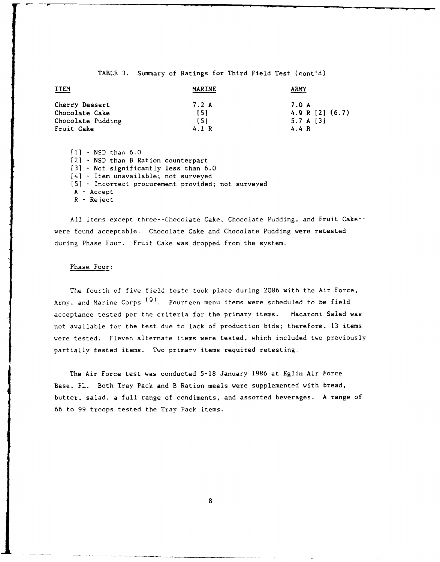#### TABLE 3. Summary of Ratings for Third Field Test (cont'd)

| <b>ITEM</b>       | <b>MARINE</b> | <b>ARMY</b>     |
|-------------------|---------------|-----------------|
| Cherry Dessert    | 7.2 A         | 7.0 A           |
| Chocolate Cake    | 151           | 4.9 R [2] (6.7) |
| Chocolate Pudding | 〔5〕           | 5.7 A $[3]$     |
| Fruit Cake        | 4.1R          | 4.4 R           |

**[11** - NSD than 6.0 [21 - NSD than B Ration counterpart **(31** - Not significantly less than 6.0 [4] - Item unavailable; not surveyed **[51 -** Incorrect procurement provided; not surveyed A - Accept R - Reject

All items except three--Chocolate Cake, Chocolate Pudding, and Fruit Cake- were found acceptable. Chocolate Cake and Chocolate Pudding were retested during Phase Four. Fruit Cake was dropped from the system.

#### Phase Four:

The fourth of five field teste took place during 2Q86 with the Air Force, Army, and Marine Corps **(9).** Fourteen menu items were scheduled to be field acceptance tested per the criteria for the primary items. Macaroni Salad was not available for the test due to lack of production bids; therefore, 13 items were tested. Eleven alternate items were tested, which included two previously partially tested items. Two primary items required retesting.

The Air Force test was conducted 5-18 January 1986 at Eglin Air Force Base, FL. Both Tray Pack and B Ration meals were supplemented with bread, butter, salad, a full range of condiments, and assorted beverages. A range of 66 to **99** troops tested the Tray Pack items.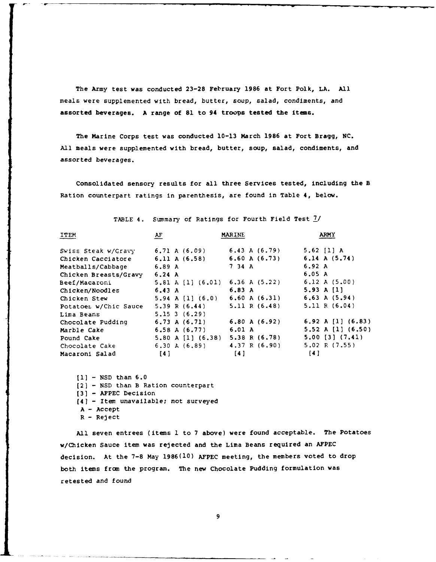The Army test was conducted **23-28** February **1986** at Fort Polk, **LA. All** meals were supplemented with bread, butter, soup, salad, condiments, and assorted beverages. **A** range of **81** to 94 troops tested the items.

The Marine Corps test was conducted **10-13** March **1986** at Fort Bragg, **NC. All** meals were supplemented with bread, butter, soup, salad, condiments, and assorted beverages.

Consolidated sensory results for all three Services tested, including the B Ration counterpart ratings in parenthesis, are found in Table 4, below.

| ITEM                  | AF                                              | <b>MARINE</b>                       | <b>ARMY</b>             |
|-----------------------|-------------------------------------------------|-------------------------------------|-------------------------|
| Swiss Steak w/Gravy   | 6.71 A $(6.09)$ 6.43 A $(6.79)$                 |                                     | 5.62 $[1] A$            |
| Chicken Cacciatore    | 6.11 A(6.58)                                    | 6.60 A $(6.73)$                     | $6.14 \text{ A} (5.74)$ |
| Meatballs/Cabbage     | 6.89A                                           | 7 34 A                              | 6.92 A                  |
| Chicken Breasts/Gravy | 6.24 A                                          |                                     | 6.05 A                  |
| Beef/Macaroni         | 5.81 A [1] (6.01) 6.36 A (5.22)                 |                                     | 6.12 A $(5.00)$         |
| Chicken/Noodles       | 6.43 A                                          | 6.83 A                              | 5.93 A $[1]$            |
| Chicken Stew          |                                                 | 5.94 A [1] $(6.0)$ 6.60 A $(6.31)$  | $6.63 \text{ A} (5.94)$ |
| Potatoes w/Chic Sauce | $5.39 \text{ R} (6.44)$ $5.11 \text{ R} (6.48)$ |                                     | 5.11 R(6.04)            |
| Lima Beans            | $5.15 \t3 \t(6.29)$                             |                                     |                         |
| Chocolate Pudding     | $6.73 \text{ A} (6.71)$                         | 6.80 A $(6.92)$                     | 6.92 A [1] $(6.83)$     |
| Marble Cake           | 6.58 A $(6.77)$                                 | 6.01 A                              | 5.52 A $[1]$ (6.50)     |
| Pound Cake            |                                                 | 5.80 A [1] $(6.38)$ 5.38 R $(6.78)$ | $5.00$ $(3)$ $(7.41)$   |
| Chocolate Cake        | $6.30 \hbox{ A} (6.89)$                         | 4.37 R(6.90)                        | $5.02 \text{ R} (7.55)$ |
| Macaroni Salad        | [4]                                             | [4]                                 | [4]                     |

TABLE 4. Summary of Ratings for Fourth Field Test **7/**

**[1)** - NSD than 6.0 [2] - NSD than B Ration counterpart **[3]** - **AFPEC** Decision (4] - Item unavailable; not surveyed **A** - Accept  $R - Reject$ 

All seven entrees (items **1** to 7 above) were found acceptable. The Potatoes w/Chicken Sauce item was rejected and the Lima Beans required an **AFPEC** decision. At the 7-8 May 1986(10) **AFPEC** meeting, the members voted to drop both items frcm the program. The new Chocolate Pudding formulation was retested and found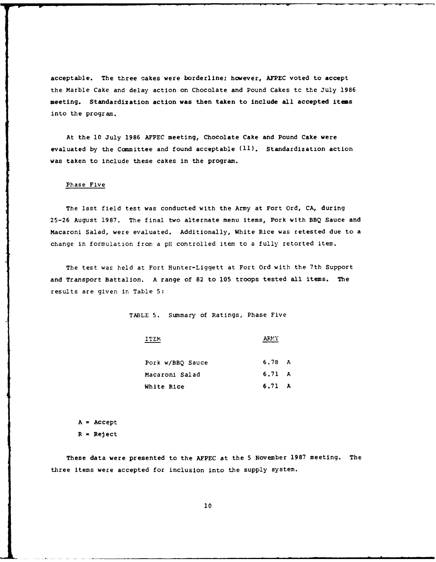acceptable. The three cakes were borderline; however, **AFPEC** voted to accept the Marble Cake and delay action on Chocolate and Pound Cakes tc the July **1986** meeting. Standardization action was then taken to include all accepted items into the program.

At the **10** July **1986 AFPEC** meeting, Chocolate Cake and Pound Cake were evaluated **by** the Committee and found acceptable **(11).** Standardization action was taken to include these cakes in the program.

#### Phase Five

The last field test was conducted with the Army at Fort Ord, **CA,** during **25-26** August **1987.** The final two alternate menu items, Pork with BBQ Sauce and Macaroni Salad, were evaluated. Additionally, White Rice was retested due to a change in formulation from a pH controlled item to a fully retorted item.

The test was held at Fort Hunter-Liggett at Fort Ord with the 7th Support and Transport Battalion. A range of **82** to **105** troops tested all items. The results are given in Table 5:

TABLE 5. Summary of Ratings, Phase Five

ITEM ARMY

| Pork w/BBO Sauce | 6.78 A |  |
|------------------|--------|--|
| Macaroni Salad   | 6.71 A |  |
| White Rice       | 6.71 A |  |

 $A = Accept$ R **=** Reject

These data were presented to the **AFPEC** at the 5 November **1987** meeting. The three items were accepted for inclusion into the supply system.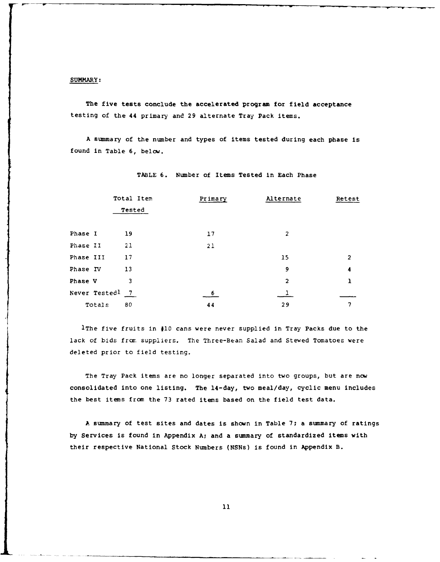#### SUMMARY:

The five tests conclude the accelerated program for field acceptance testing of the 44 primary and **29** alternate Tray Pack items.

A summary of the number and types of items tested during each phase is found in Table 6, below.

|           | Total Item      | Primary | Alternate      | Retest       |
|-----------|-----------------|---------|----------------|--------------|
|           | Tested          |         |                |              |
| Phase I   | 19              | 17      | 2              |              |
| Phase II  | 21              | 21      |                |              |
| Phase III | 17              |         | 15             | $\mathbf{2}$ |
| Phase IV  | 13              |         | 9              | 4            |
| Phase V   | 3               |         | $\overline{2}$ |              |
|           | Never Testedl 7 | -6      |                |              |
| Totals    | 80              | 44      | 29             |              |

TABLE **6.** Number of Items Tested in Each Phase

lThe five fruits in **#10** cans were never supplied in Tray Packs due to the lack of bids from suppliers. The Three-Bean Salad and Stewed Tomatoes were deleted prior to field testing.

The Tray Pack items are no longer separated into two groups, but are now consolidated into one listing. The 14-day, two meal/day, cyclic menu includes the best items from the 73 rated items based on the field test data.

A summary of test sites and dates is shown in Table **7;** a summary of ratings by Services is found in Appendix **A;** and a summary of standardized items with their respective National Stock Numbers (NSNs) is found in Appendix B.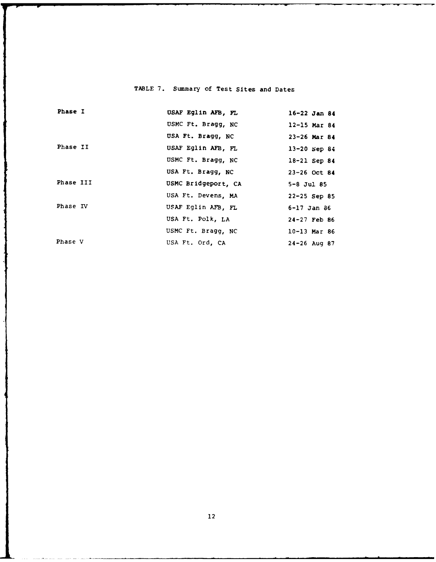## TABLE **7.** Summary of Test Sites and Dates

| Phase I   | USAF Eglin AFB, FL  | $16 - 22$ Jan 84 |
|-----------|---------------------|------------------|
|           | USMC Ft. Bragg, NC  | $12 - 15$ Mar 84 |
|           | USA Ft. Bragg, NC   | $23 - 26$ Mar 84 |
| Phase II  | USAF Eglin AFB, FL  | $13 - 20$ Sep 84 |
|           | USMC Ft. Bragg, NC  | 18-21 Sep 84     |
|           | USA Ft. Bragg, NC   | $23 - 26$ Oct 84 |
| Phase III | USMC Bridgeport, CA | $5 - 8$ Jul $85$ |
|           |                     |                  |
|           | USA Ft. Devens, MA  | $22 - 25$ Sep 85 |
| Phase IV  | USAF Eglin AFB, FL  | 6-17 Jan 86      |
|           | USA Ft. Polk, LA    | $24 - 27$ Feb 86 |
|           | USMC Ft. Bragg, NC  | $10-13$ Mar 86   |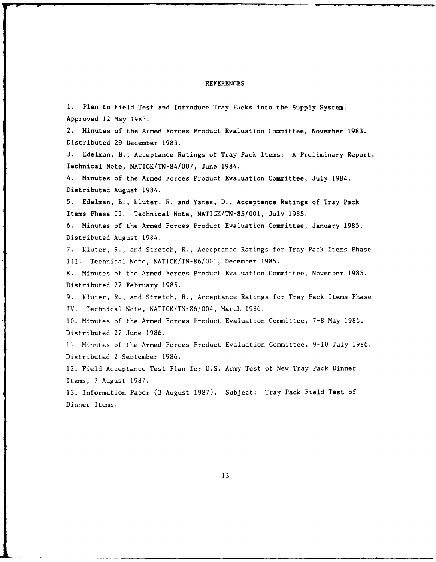#### REFERENCES

**1.** Plan to Field Test and Introduce Tray Pucks into the Supply System. Approved 12 May 1983. 2. Minutes of the Armed Forces Product Evaluation Committee, November 1983. Distributed 29 December 1983. 3. Edelman, B., Acceptance Ratings of Tray Pack Items: A Preliminary Report. Technical Note, NATICK/TN-84/007, June 1984. 4. Minutes of the Armed Forces Product Evaluation Committee, July 1984. Distributed August 1984. 5. Edelman, B., Kluter, R. and Yates, D., Acceptance Ratings of Tray Pack Items Phase II. Technical Note, NATICK/TN-85/001, July 1985. 6. Minutes of the Armed Forces Product Evaluation Committee, January 1985. Distributed August 1984. 7. Kluter, R., and Stretch, R., Acceptance Ratings for Tray Pack Items Phase III. Technical Note, NATICK/TN-86/001, December 1985. 8. Minutes of the Armed Forces Product Evaluation Committee, November 1985. Distributed 27 February 1985. 9. Kluter, R., and Stretch, R., Acceptance Ratings for Tray Pack Items Phase IV. Technical Note, NATICK/TN-86/004, March 1986. **10.** Minutes of the Armed Forces Product Evaluation Committee, 7-8 May 1986. Distributed 27 June 1986. 11. Minutes of the Armed Forces Product Evaluation Committee, 9-10 July 1986. Distributed 2 September 1986. 12. Field Acceptance Test Plan for U.S. Army Test of New Tray Pack Dinner Items, 7 August 1987. 13. Information Paper (3 August 1987). Subject: Tray Pack Field Test of

Dinner Items.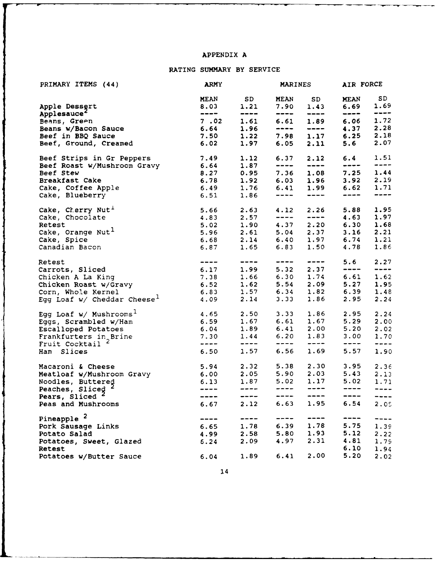### APPENDIX A

### RATING SUMMARY BY SERVICE

| PRIMARY ITEMS (44)                        | <b>ARMY</b><br><b>MARINES</b>                                                                                                                                                                                                                                                                                                                                                                                                                                              |                                                                                                                                                                                                                                                                                                                                                                                              | AIR FORCE                                                                                                                                                                                                                                                                                                                                                                                    |                                                                                                                                                                                                                                                                                                                                                                                              |                                      |                                             |
|-------------------------------------------|----------------------------------------------------------------------------------------------------------------------------------------------------------------------------------------------------------------------------------------------------------------------------------------------------------------------------------------------------------------------------------------------------------------------------------------------------------------------------|----------------------------------------------------------------------------------------------------------------------------------------------------------------------------------------------------------------------------------------------------------------------------------------------------------------------------------------------------------------------------------------------|----------------------------------------------------------------------------------------------------------------------------------------------------------------------------------------------------------------------------------------------------------------------------------------------------------------------------------------------------------------------------------------------|----------------------------------------------------------------------------------------------------------------------------------------------------------------------------------------------------------------------------------------------------------------------------------------------------------------------------------------------------------------------------------------------|--------------------------------------|---------------------------------------------|
|                                           | <b>MEAN</b>                                                                                                                                                                                                                                                                                                                                                                                                                                                                | SD <sub>a</sub>                                                                                                                                                                                                                                                                                                                                                                              | <b>MEAN</b>                                                                                                                                                                                                                                                                                                                                                                                  | SD <sub>a</sub>                                                                                                                                                                                                                                                                                                                                                                              | <b>MEAN</b>                          | SD.                                         |
| Apple Dessert                             | 8.03                                                                                                                                                                                                                                                                                                                                                                                                                                                                       | 1.21                                                                                                                                                                                                                                                                                                                                                                                         | 7.90                                                                                                                                                                                                                                                                                                                                                                                         | 1.43                                                                                                                                                                                                                                                                                                                                                                                         | 6.69                                 | 1.69                                        |
| Applesauce <sup>2</sup>                   | $\begin{tabular}{cc} - & - & - \\ - & - & - \\ \hline \end{tabular}$                                                                                                                                                                                                                                                                                                                                                                                                       |                                                                                                                                                                                                                                                                                                                                                                                              | ----                                                                                                                                                                                                                                                                                                                                                                                         | $\qquad \qquad \text{---} \qquad$                                                                                                                                                                                                                                                                                                                                                            | $\qquad \qquad \cdots \qquad \qquad$ | $\begin{array}{c} \textbf{---} \end{array}$ |
| Beans, Green                              | 7.02                                                                                                                                                                                                                                                                                                                                                                                                                                                                       | 1.61                                                                                                                                                                                                                                                                                                                                                                                         |                                                                                                                                                                                                                                                                                                                                                                                              | 6.61 1.89                                                                                                                                                                                                                                                                                                                                                                                    | 6.06                                 | 1.72                                        |
| Beans w/Bacon Sauce                       | 6.64                                                                                                                                                                                                                                                                                                                                                                                                                                                                       | 1.96                                                                                                                                                                                                                                                                                                                                                                                         |                                                                                                                                                                                                                                                                                                                                                                                              |                                                                                                                                                                                                                                                                                                                                                                                              | 4.37                                 | 2.28                                        |
| Beef in BBQ Sauce                         | 7.50                                                                                                                                                                                                                                                                                                                                                                                                                                                                       | 1.22                                                                                                                                                                                                                                                                                                                                                                                         |                                                                                                                                                                                                                                                                                                                                                                                              | $7.98$ 1.17                                                                                                                                                                                                                                                                                                                                                                                  | 6.25                                 | 2.18                                        |
| Beef, Ground, Creamed                     | 6.02                                                                                                                                                                                                                                                                                                                                                                                                                                                                       | 1.97                                                                                                                                                                                                                                                                                                                                                                                         |                                                                                                                                                                                                                                                                                                                                                                                              | $6.05$ 2.11                                                                                                                                                                                                                                                                                                                                                                                  | 5.6                                  | 2.07                                        |
| Beef Strips in Gr Peppers                 | 7.49                                                                                                                                                                                                                                                                                                                                                                                                                                                                       | 1.12                                                                                                                                                                                                                                                                                                                                                                                         | 6.37                                                                                                                                                                                                                                                                                                                                                                                         | 2.12                                                                                                                                                                                                                                                                                                                                                                                         | 6.4                                  | 1.51                                        |
| Beef Roast W/Mushroom Gravy               | 6.64                                                                                                                                                                                                                                                                                                                                                                                                                                                                       | 1.87                                                                                                                                                                                                                                                                                                                                                                                         | ----                                                                                                                                                                                                                                                                                                                                                                                         | $\qquad \qquad - -$                                                                                                                                                                                                                                                                                                                                                                          | ----                                 | $\frac{1}{2}$                               |
| Beef Stew                                 | $8.27$<br>6.78                                                                                                                                                                                                                                                                                                                                                                                                                                                             | 0.95                                                                                                                                                                                                                                                                                                                                                                                         |                                                                                                                                                                                                                                                                                                                                                                                              | $7.36$ 1.08                                                                                                                                                                                                                                                                                                                                                                                  | 7.25                                 | 1.44                                        |
| Breakfast Cake                            |                                                                                                                                                                                                                                                                                                                                                                                                                                                                            | 1.92                                                                                                                                                                                                                                                                                                                                                                                         |                                                                                                                                                                                                                                                                                                                                                                                              | $6.03$ 1.96                                                                                                                                                                                                                                                                                                                                                                                  |                                      | 3.92 2.19                                   |
| Cake, Coffee Apple                        | 6.49                                                                                                                                                                                                                                                                                                                                                                                                                                                                       | 1.76                                                                                                                                                                                                                                                                                                                                                                                         |                                                                                                                                                                                                                                                                                                                                                                                              | 6.41 1.99                                                                                                                                                                                                                                                                                                                                                                                    | 6.62                                 | 1.71                                        |
| Cake, Blueberry                           | 6.51                                                                                                                                                                                                                                                                                                                                                                                                                                                                       | 1.86                                                                                                                                                                                                                                                                                                                                                                                         | $\begin{tabular}{lllllllllll} \toprule[-2mm]{0mm}{1.2mm} & \multicolumn{2}{c}{\multicolumn{2}{c}{\multicolumn{2}{c}{\multicolumn{2}{c}{\multicolumn{2}{c}{\multicolumn{2}{c}{\multicolumn{2}{c}{\multicolumn{2}{c}{\multicolumn{2}{c}{\multicolumn{2}{c}{\multicolumn{2}{c}{\textbf{1}}}}}}}} \label{eq:4.1} \end{tabular}$                                                                  | $\begin{tabular}{ccccc} \multicolumn{2}{c }{\multicolumn{2}{c }{\multicolumn{2}{c }{\multicolumn{2}{c}}{\qquad \qquad }}\end{tabular}$                                                                                                                                                                                                                                                       | -----                                | ----                                        |
| Cake, Cherry Nut <sup>1</sup>             |                                                                                                                                                                                                                                                                                                                                                                                                                                                                            | $5.66$ 2.63                                                                                                                                                                                                                                                                                                                                                                                  | 4.12                                                                                                                                                                                                                                                                                                                                                                                         | 2.26                                                                                                                                                                                                                                                                                                                                                                                         | 5.88                                 | 1.95                                        |
| Cake, Chocolate                           | 4.83                                                                                                                                                                                                                                                                                                                                                                                                                                                                       | 2.57                                                                                                                                                                                                                                                                                                                                                                                         |                                                                                                                                                                                                                                                                                                                                                                                              | $\frac{1}{2} \frac{1}{2} \frac{1}{2} \frac{1}{2} \frac{1}{2} \frac{1}{2} \frac{1}{2} \frac{1}{2} \frac{1}{2} \frac{1}{2} \frac{1}{2} \frac{1}{2} \frac{1}{2} \frac{1}{2} \frac{1}{2} \frac{1}{2} \frac{1}{2} \frac{1}{2} \frac{1}{2} \frac{1}{2} \frac{1}{2} \frac{1}{2} \frac{1}{2} \frac{1}{2} \frac{1}{2} \frac{1}{2} \frac{1}{2} \frac{1}{2} \frac{1}{2} \frac{1}{2} \frac{1}{2} \frac{$ | 4.63                                 | 1.97                                        |
| Retest                                    |                                                                                                                                                                                                                                                                                                                                                                                                                                                                            | $5.02$ 1.90                                                                                                                                                                                                                                                                                                                                                                                  |                                                                                                                                                                                                                                                                                                                                                                                              | 4.37 2.20                                                                                                                                                                                                                                                                                                                                                                                    |                                      | 6.30 1.68                                   |
| Cake, Orange Nut <sup>1</sup>             |                                                                                                                                                                                                                                                                                                                                                                                                                                                                            | $5.96$ $2.61$ $5.04$ $2.37$<br>6.68 $2.14$ 6.40 $1.97$                                                                                                                                                                                                                                                                                                                                       |                                                                                                                                                                                                                                                                                                                                                                                              |                                                                                                                                                                                                                                                                                                                                                                                              |                                      | $3.16$ 2.21                                 |
| Cake, Spice                               |                                                                                                                                                                                                                                                                                                                                                                                                                                                                            |                                                                                                                                                                                                                                                                                                                                                                                              |                                                                                                                                                                                                                                                                                                                                                                                              |                                                                                                                                                                                                                                                                                                                                                                                              | 6.74                                 | 1.21                                        |
| Canadian Bacon                            |                                                                                                                                                                                                                                                                                                                                                                                                                                                                            | 6.87 1.65                                                                                                                                                                                                                                                                                                                                                                                    |                                                                                                                                                                                                                                                                                                                                                                                              | $6.83$ 1.50                                                                                                                                                                                                                                                                                                                                                                                  | 4.78                                 | 1.86                                        |
| Retest                                    |                                                                                                                                                                                                                                                                                                                                                                                                                                                                            |                                                                                                                                                                                                                                                                                                                                                                                              | $\frac{1}{2} \frac{1}{2} \frac{1}{2} \frac{1}{2} \frac{1}{2} \frac{1}{2} \frac{1}{2} \frac{1}{2} \frac{1}{2} \frac{1}{2} \frac{1}{2} \frac{1}{2} \frac{1}{2} \frac{1}{2} \frac{1}{2} \frac{1}{2} \frac{1}{2} \frac{1}{2} \frac{1}{2} \frac{1}{2} \frac{1}{2} \frac{1}{2} \frac{1}{2} \frac{1}{2} \frac{1}{2} \frac{1}{2} \frac{1}{2} \frac{1}{2} \frac{1}{2} \frac{1}{2} \frac{1}{2} \frac{$ |                                                                                                                                                                                                                                                                                                                                                                                              | 5.6                                  | 2.27                                        |
| Carrots, Sliced                           | 6.17                                                                                                                                                                                                                                                                                                                                                                                                                                                                       | 1.99                                                                                                                                                                                                                                                                                                                                                                                         |                                                                                                                                                                                                                                                                                                                                                                                              | $5.32$ $2.37$                                                                                                                                                                                                                                                                                                                                                                                | $--- - -$                            | $- - - -$                                   |
| Chicken A La King                         |                                                                                                                                                                                                                                                                                                                                                                                                                                                                            | 7.38 1.66                                                                                                                                                                                                                                                                                                                                                                                    |                                                                                                                                                                                                                                                                                                                                                                                              | $6.30 \quad 1.74$                                                                                                                                                                                                                                                                                                                                                                            | 6.61                                 | 1.62                                        |
| Chicken Roast w/Gravy                     |                                                                                                                                                                                                                                                                                                                                                                                                                                                                            |                                                                                                                                                                                                                                                                                                                                                                                              |                                                                                                                                                                                                                                                                                                                                                                                              | $5.54$ $2.09$                                                                                                                                                                                                                                                                                                                                                                                |                                      | $5.27$ 1.95                                 |
| Corn, Whole Kernel                        |                                                                                                                                                                                                                                                                                                                                                                                                                                                                            |                                                                                                                                                                                                                                                                                                                                                                                              |                                                                                                                                                                                                                                                                                                                                                                                              |                                                                                                                                                                                                                                                                                                                                                                                              | $6.39$ 1.48                          |                                             |
| Egg Loaf $w/$ Cheddar Cheese <sup>1</sup> |                                                                                                                                                                                                                                                                                                                                                                                                                                                                            | 6.52 1.62 5.54 2.09<br>6.83 1.57 6.34 1.82<br>4.09 2.14 3.33 1.86                                                                                                                                                                                                                                                                                                                            |                                                                                                                                                                                                                                                                                                                                                                                              | 1.86                                                                                                                                                                                                                                                                                                                                                                                         | 2.95                                 | 2.24                                        |
| Egg Loaf $w/$ Mushrooms <sup>1</sup>      | 4.65                                                                                                                                                                                                                                                                                                                                                                                                                                                                       |                                                                                                                                                                                                                                                                                                                                                                                              | 3.33                                                                                                                                                                                                                                                                                                                                                                                         | 1.86                                                                                                                                                                                                                                                                                                                                                                                         | 2.95                                 | 2.24                                        |
| Eggs, Scrambled w/Ham                     | 6.59                                                                                                                                                                                                                                                                                                                                                                                                                                                                       | $2.50$<br>$1.67$                                                                                                                                                                                                                                                                                                                                                                             | 6.61                                                                                                                                                                                                                                                                                                                                                                                         | 1.67                                                                                                                                                                                                                                                                                                                                                                                         | 5.29                                 | 2.00                                        |
| Escalloped Potatoes                       |                                                                                                                                                                                                                                                                                                                                                                                                                                                                            | $6.04$ 1.89                                                                                                                                                                                                                                                                                                                                                                                  |                                                                                                                                                                                                                                                                                                                                                                                              | 6.41 2.00                                                                                                                                                                                                                                                                                                                                                                                    | 5.20                                 | 2.02                                        |
| Frankfurters in Brine                     |                                                                                                                                                                                                                                                                                                                                                                                                                                                                            | $7.30 \t1.44$                                                                                                                                                                                                                                                                                                                                                                                | 6.20                                                                                                                                                                                                                                                                                                                                                                                         | 1.83                                                                                                                                                                                                                                                                                                                                                                                         | 3.00                                 | 1.70                                        |
| Fruit Cocktail                            | $\frac{1}{2} \left( \frac{1}{2} \right) \left( \frac{1}{2} \right) \left( \frac{1}{2} \right) \left( \frac{1}{2} \right) \left( \frac{1}{2} \right) \left( \frac{1}{2} \right) \left( \frac{1}{2} \right) \left( \frac{1}{2} \right) \left( \frac{1}{2} \right) \left( \frac{1}{2} \right) \left( \frac{1}{2} \right) \left( \frac{1}{2} \right) \left( \frac{1}{2} \right) \left( \frac{1}{2} \right) \left( \frac{1}{2} \right) \left( \frac{1}{2} \right) \left( \frac$ | $\frac{1}{2} \frac{1}{2} \frac{1}{2} \frac{1}{2} \frac{1}{2} \frac{1}{2} \frac{1}{2} \frac{1}{2} \frac{1}{2} \frac{1}{2} \frac{1}{2} \frac{1}{2} \frac{1}{2} \frac{1}{2} \frac{1}{2} \frac{1}{2} \frac{1}{2} \frac{1}{2} \frac{1}{2} \frac{1}{2} \frac{1}{2} \frac{1}{2} \frac{1}{2} \frac{1}{2} \frac{1}{2} \frac{1}{2} \frac{1}{2} \frac{1}{2} \frac{1}{2} \frac{1}{2} \frac{1}{2} \frac{$ | $\frac{1}{2} \left( \frac{1}{2} \left( \frac{1}{2} \right) + \frac{1}{2} \left( \frac{1}{2} \right) + \frac{1}{2} \left( \frac{1}{2} \right) \right)$                                                                                                                                                                                                                                        | -----                                                                                                                                                                                                                                                                                                                                                                                        | $\qquad \qquad - - - -$              | $- - - - -$                                 |
| Ham Slices                                | 6.50                                                                                                                                                                                                                                                                                                                                                                                                                                                                       | 1.57                                                                                                                                                                                                                                                                                                                                                                                         | 6.56                                                                                                                                                                                                                                                                                                                                                                                         | 1.69                                                                                                                                                                                                                                                                                                                                                                                         | 5.57                                 | 1.90                                        |
| Macaroni & Cheese                         | $5.94$ 2.32                                                                                                                                                                                                                                                                                                                                                                                                                                                                |                                                                                                                                                                                                                                                                                                                                                                                              | 5.38                                                                                                                                                                                                                                                                                                                                                                                         | 2.30                                                                                                                                                                                                                                                                                                                                                                                         | 3.95                                 | 2.36                                        |
| Meatloaf w/Mushroom Gravy                 | 6.00 2.05                                                                                                                                                                                                                                                                                                                                                                                                                                                                  |                                                                                                                                                                                                                                                                                                                                                                                              |                                                                                                                                                                                                                                                                                                                                                                                              | 5.90 2.03                                                                                                                                                                                                                                                                                                                                                                                    | 5.43                                 | 2.13                                        |
| Noodles, Buttered                         | 6.13                                                                                                                                                                                                                                                                                                                                                                                                                                                                       | 1.87                                                                                                                                                                                                                                                                                                                                                                                         | 5.02                                                                                                                                                                                                                                                                                                                                                                                         | 1.17                                                                                                                                                                                                                                                                                                                                                                                         | 5.02                                 | 1.71                                        |
| Peaches, Sliced                           | $- - - - -$                                                                                                                                                                                                                                                                                                                                                                                                                                                                | $\qquad \qquad \cdots \qquad$                                                                                                                                                                                                                                                                                                                                                                | $\qquad \qquad - - -$                                                                                                                                                                                                                                                                                                                                                                        | $\qquad \qquad - - -$                                                                                                                                                                                                                                                                                                                                                                        | $--- - -$                            | $- - - - -$                                 |
| Pears, Sliced <sup>2</sup>                | $\qquad \qquad - \qquad -$                                                                                                                                                                                                                                                                                                                                                                                                                                                 | ----                                                                                                                                                                                                                                                                                                                                                                                         | $- - - -$                                                                                                                                                                                                                                                                                                                                                                                    | ----                                                                                                                                                                                                                                                                                                                                                                                         | ----                                 | ----                                        |
| Peas and Mushrooms                        | 6.67                                                                                                                                                                                                                                                                                                                                                                                                                                                                       | 2.12                                                                                                                                                                                                                                                                                                                                                                                         | 6.63                                                                                                                                                                                                                                                                                                                                                                                         | 1.95                                                                                                                                                                                                                                                                                                                                                                                         | 6.54                                 | 2.05                                        |
| Pineapple <sup>2</sup>                    | ----                                                                                                                                                                                                                                                                                                                                                                                                                                                                       | ----                                                                                                                                                                                                                                                                                                                                                                                         | ----                                                                                                                                                                                                                                                                                                                                                                                         | ----                                                                                                                                                                                                                                                                                                                                                                                         | ----                                 | $- - - - -$                                 |
| Pork Sausage Links                        | 6.65                                                                                                                                                                                                                                                                                                                                                                                                                                                                       | 1.78                                                                                                                                                                                                                                                                                                                                                                                         | 6.39                                                                                                                                                                                                                                                                                                                                                                                         | 1.78                                                                                                                                                                                                                                                                                                                                                                                         | 5.75                                 | 1.39                                        |
| Potato Salad                              | 4.99                                                                                                                                                                                                                                                                                                                                                                                                                                                                       | 2.58                                                                                                                                                                                                                                                                                                                                                                                         | 5.80                                                                                                                                                                                                                                                                                                                                                                                         | 1.93                                                                                                                                                                                                                                                                                                                                                                                         | 5.12                                 | 2.22                                        |
| Potatoes, Sweet, Glazed                   | 6.24                                                                                                                                                                                                                                                                                                                                                                                                                                                                       | 2.09                                                                                                                                                                                                                                                                                                                                                                                         | 4.97                                                                                                                                                                                                                                                                                                                                                                                         | 2.31                                                                                                                                                                                                                                                                                                                                                                                         | 4.81                                 | 1.79                                        |
| Retest                                    |                                                                                                                                                                                                                                                                                                                                                                                                                                                                            |                                                                                                                                                                                                                                                                                                                                                                                              |                                                                                                                                                                                                                                                                                                                                                                                              |                                                                                                                                                                                                                                                                                                                                                                                              | 6.10                                 | 1.94                                        |
| Potatoes w/Butter Sauce                   | 6.04                                                                                                                                                                                                                                                                                                                                                                                                                                                                       | 1.89                                                                                                                                                                                                                                                                                                                                                                                         | 6.41                                                                                                                                                                                                                                                                                                                                                                                         | 2.00                                                                                                                                                                                                                                                                                                                                                                                         | 5.20                                 | 2.02                                        |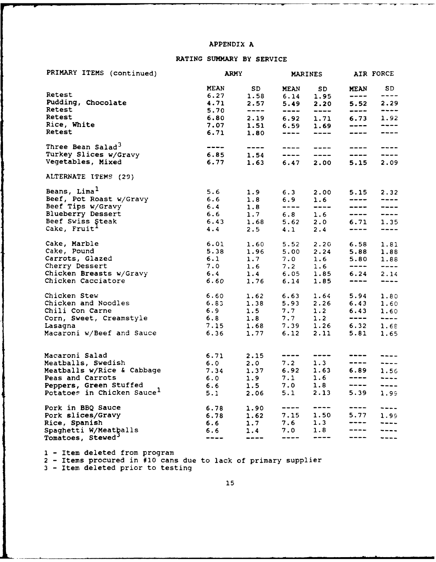#### **APPENDIX A**

### RATING SUMMARY BY SERVICE

| PRIMARY ITEMS (continued)                                        |                                                                                                                                                                                                                          | <b>ARMY</b>                                                                                                                                                                                                                                                                                                                                                                                                                                                                        |                                                                                                                                                                                                                                                                                                                                                                                                                                                                            | MARINES AIR FORCE                                                                                                                                                                                                                                                                                                                                                                                         |                                                                                                                                                                                                                                                                                                                                                                                                                                                                                      |                                            |
|------------------------------------------------------------------|--------------------------------------------------------------------------------------------------------------------------------------------------------------------------------------------------------------------------|------------------------------------------------------------------------------------------------------------------------------------------------------------------------------------------------------------------------------------------------------------------------------------------------------------------------------------------------------------------------------------------------------------------------------------------------------------------------------------|----------------------------------------------------------------------------------------------------------------------------------------------------------------------------------------------------------------------------------------------------------------------------------------------------------------------------------------------------------------------------------------------------------------------------------------------------------------------------|-----------------------------------------------------------------------------------------------------------------------------------------------------------------------------------------------------------------------------------------------------------------------------------------------------------------------------------------------------------------------------------------------------------|--------------------------------------------------------------------------------------------------------------------------------------------------------------------------------------------------------------------------------------------------------------------------------------------------------------------------------------------------------------------------------------------------------------------------------------------------------------------------------------|--------------------------------------------|
| Retest                                                           |                                                                                                                                                                                                                          | MEAN SD<br>$6.27$ 1.58                                                                                                                                                                                                                                                                                                                                                                                                                                                             |                                                                                                                                                                                                                                                                                                                                                                                                                                                                            | MEAN SD<br>$6.14$ 1.95                                                                                                                                                                                                                                                                                                                                                                                    | <b>MEAN</b>                                                                                                                                                                                                                                                                                                                                                                                                                                                                          | SD<br>$\qquad \qquad - - -$                |
| Pudding, Chocolate<br>Retest                                     | 4.71<br>5.70                                                                                                                                                                                                             | 2.57<br>$\frac{1}{2} \left( \frac{1}{2} \right) \left( \frac{1}{2} \right) \left( \frac{1}{2} \right) \left( \frac{1}{2} \right) \left( \frac{1}{2} \right) \left( \frac{1}{2} \right) \left( \frac{1}{2} \right) \left( \frac{1}{2} \right) \left( \frac{1}{2} \right) \left( \frac{1}{2} \right) \left( \frac{1}{2} \right) \left( \frac{1}{2} \right) \left( \frac{1}{2} \right) \left( \frac{1}{2} \right) \left( \frac{1}{2} \right) \left( \frac{1}{2} \right) \left( \frac$ | ----                                                                                                                                                                                                                                                                                                                                                                                                                                                                       | 5.49 2.20<br>$\frac{1}{2} \frac{1}{2} \frac{1}{2} \frac{1}{2} \frac{1}{2} \frac{1}{2} \frac{1}{2} \frac{1}{2} \frac{1}{2} \frac{1}{2} \frac{1}{2} \frac{1}{2} \frac{1}{2} \frac{1}{2} \frac{1}{2} \frac{1}{2} \frac{1}{2} \frac{1}{2} \frac{1}{2} \frac{1}{2} \frac{1}{2} \frac{1}{2} \frac{1}{2} \frac{1}{2} \frac{1}{2} \frac{1}{2} \frac{1}{2} \frac{1}{2} \frac{1}{2} \frac{1}{2} \frac{1}{2} \frac{$ |                                                                                                                                                                                                                                                                                                                                                                                                                                                                                      | 5.52 2.29<br>$- - - -$                     |
| Retest<br>Rice, White                                            |                                                                                                                                                                                                                          | $6.80$ 2.19 $6.92$ 1.71<br>$7.07$ 1.51                                                                                                                                                                                                                                                                                                                                                                                                                                             |                                                                                                                                                                                                                                                                                                                                                                                                                                                                            | $6.59$ 1.69                                                                                                                                                                                                                                                                                                                                                                                               | ----                                                                                                                                                                                                                                                                                                                                                                                                                                                                                 | $6.73$ 1.92<br>$\frac{1}{2}$               |
| Retest                                                           |                                                                                                                                                                                                                          | 6.71 1.80                                                                                                                                                                                                                                                                                                                                                                                                                                                                          |                                                                                                                                                                                                                                                                                                                                                                                                                                                                            | ---- ----                                                                                                                                                                                                                                                                                                                                                                                                 | ----                                                                                                                                                                                                                                                                                                                                                                                                                                                                                 | $\qquad \qquad - - -$                      |
| Three Bean Salad <sup>3</sup><br>Turkey Slices w/Gravy           | $6.85$ 1.54 $-- ---$                                                                                                                                                                                                     | ---- ----                                                                                                                                                                                                                                                                                                                                                                                                                                                                          | $\frac{1}{2} \left( \frac{1}{2} \right) \left( \frac{1}{2} \right) \left( \frac{1}{2} \right) \left( \frac{1}{2} \right) \left( \frac{1}{2} \right) \left( \frac{1}{2} \right) \left( \frac{1}{2} \right) \left( \frac{1}{2} \right) \left( \frac{1}{2} \right) \left( \frac{1}{2} \right) \left( \frac{1}{2} \right) \left( \frac{1}{2} \right) \left( \frac{1}{2} \right) \left( \frac{1}{2} \right) \left( \frac{1}{2} \right) \left( \frac{1}{2} \right) \left( \frac$ |                                                                                                                                                                                                                                                                                                                                                                                                           | $\qquad \qquad - - -$<br>$\qquad \qquad - - - -$                                                                                                                                                                                                                                                                                                                                                                                                                                     | $\frac{1}{2}$<br>$\qquad \qquad -\qquad -$ |
| Vegetables, Mixed                                                | 6.77                                                                                                                                                                                                                     | 1.63                                                                                                                                                                                                                                                                                                                                                                                                                                                                               |                                                                                                                                                                                                                                                                                                                                                                                                                                                                            | 6.47 2.00                                                                                                                                                                                                                                                                                                                                                                                                 | 5.15                                                                                                                                                                                                                                                                                                                                                                                                                                                                                 | 2.09                                       |
| ALTERNATE ITEMS (29)                                             |                                                                                                                                                                                                                          |                                                                                                                                                                                                                                                                                                                                                                                                                                                                                    |                                                                                                                                                                                                                                                                                                                                                                                                                                                                            |                                                                                                                                                                                                                                                                                                                                                                                                           |                                                                                                                                                                                                                                                                                                                                                                                                                                                                                      |                                            |
| Beans, Lima <sup>1</sup><br>Beef, Pot Roast w/Gravy              | 5.6<br>5.6 1.9<br>6.6 1.8                                                                                                                                                                                                |                                                                                                                                                                                                                                                                                                                                                                                                                                                                                    |                                                                                                                                                                                                                                                                                                                                                                                                                                                                            | $6.3$ $2.00$<br>$6.9$ 1.6                                                                                                                                                                                                                                                                                                                                                                                 | ----                                                                                                                                                                                                                                                                                                                                                                                                                                                                                 | $5.15$ 2.32                                |
| Beef Tips w/Gravy                                                | $6.4$ 1.8                                                                                                                                                                                                                |                                                                                                                                                                                                                                                                                                                                                                                                                                                                                    |                                                                                                                                                                                                                                                                                                                                                                                                                                                                            | ---- ----                                                                                                                                                                                                                                                                                                                                                                                                 | -----                                                                                                                                                                                                                                                                                                                                                                                                                                                                                | $\qquad \qquad - - - -$                    |
| Blueberry Dessert                                                |                                                                                                                                                                                                                          | $6.6$ 1.7 $6.8$ 1.6                                                                                                                                                                                                                                                                                                                                                                                                                                                                |                                                                                                                                                                                                                                                                                                                                                                                                                                                                            |                                                                                                                                                                                                                                                                                                                                                                                                           |                                                                                                                                                                                                                                                                                                                                                                                                                                                                                      | ---- ----                                  |
| Beef Swiss Steak                                                 |                                                                                                                                                                                                                          |                                                                                                                                                                                                                                                                                                                                                                                                                                                                                    |                                                                                                                                                                                                                                                                                                                                                                                                                                                                            |                                                                                                                                                                                                                                                                                                                                                                                                           |                                                                                                                                                                                                                                                                                                                                                                                                                                                                                      | $6.71$ 1.35                                |
| Cake, Fruit <sup>1</sup>                                         |                                                                                                                                                                                                                          | $6.43$ $1.68$<br>$4.4$ $2.5$                                                                                                                                                                                                                                                                                                                                                                                                                                                       |                                                                                                                                                                                                                                                                                                                                                                                                                                                                            | $5.62$ $2.0$<br>$4.1$ $2.4$                                                                                                                                                                                                                                                                                                                                                                               | ----                                                                                                                                                                                                                                                                                                                                                                                                                                                                                 | $\qquad \qquad - - -$                      |
| Cake, Marble<br>Cake, Pound                                      |                                                                                                                                                                                                                          | 6.01 1.60                                                                                                                                                                                                                                                                                                                                                                                                                                                                          |                                                                                                                                                                                                                                                                                                                                                                                                                                                                            | 5.52 2.20                                                                                                                                                                                                                                                                                                                                                                                                 | 6.58                                                                                                                                                                                                                                                                                                                                                                                                                                                                                 | 1.81                                       |
| Carrots, Glazed                                                  |                                                                                                                                                                                                                          | $5.38$ 1.96<br>6.1 1.7                                                                                                                                                                                                                                                                                                                                                                                                                                                             |                                                                                                                                                                                                                                                                                                                                                                                                                                                                            | $5.00$ $2.24$<br>$7.0$ $1.6$                                                                                                                                                                                                                                                                                                                                                                              |                                                                                                                                                                                                                                                                                                                                                                                                                                                                                      | 5.88 1.88<br>5.80 1.88                     |
| Cherry Dessert                                                   |                                                                                                                                                                                                                          | $7.0$ 1.6                                                                                                                                                                                                                                                                                                                                                                                                                                                                          |                                                                                                                                                                                                                                                                                                                                                                                                                                                                            | $7.2 \t1.6$                                                                                                                                                                                                                                                                                                                                                                                               | $\begin{tabular}{lllllllll} \toprule \multicolumn{1}{l}{} & \multicolumn{1}{l}{} & \multicolumn{1}{l}{} & \multicolumn{1}{l}{} & \multicolumn{1}{l}{} & \multicolumn{1}{l}{} & \multicolumn{1}{l}{} & \multicolumn{1}{l}{} & \multicolumn{1}{l}{} & \multicolumn{1}{l}{} & \multicolumn{1}{l}{} & \multicolumn{1}{l}{} & \multicolumn{1}{l}{} & \multicolumn{1}{l}{} & \multicolumn{1}{l}{} & \multicolumn{1}{l}{} & \multicolumn{1}{l}{} & \multicolumn{1}{l}{} & \multicolumn{1}{$ | $\frac{1}{2}$                              |
| Chicken Breasts w/Gravy                                          |                                                                                                                                                                                                                          | $6.4$ 1.4 $6.05$ 1.85                                                                                                                                                                                                                                                                                                                                                                                                                                                              |                                                                                                                                                                                                                                                                                                                                                                                                                                                                            |                                                                                                                                                                                                                                                                                                                                                                                                           |                                                                                                                                                                                                                                                                                                                                                                                                                                                                                      | $6.24$ $2.14$                              |
| Chicken Cacciatore                                               | 6.60                                                                                                                                                                                                                     | 1.76                                                                                                                                                                                                                                                                                                                                                                                                                                                                               |                                                                                                                                                                                                                                                                                                                                                                                                                                                                            | $6.14$ 1.85                                                                                                                                                                                                                                                                                                                                                                                               | $\begin{array}{ccc} - & - & - \\ - & - & - \end{array}$                                                                                                                                                                                                                                                                                                                                                                                                                              | $\frac{1}{2}$                              |
| Chicken Stew                                                     |                                                                                                                                                                                                                          | $6.60$ 1.62                                                                                                                                                                                                                                                                                                                                                                                                                                                                        |                                                                                                                                                                                                                                                                                                                                                                                                                                                                            | $6.63$ 1.64                                                                                                                                                                                                                                                                                                                                                                                               | 5.94                                                                                                                                                                                                                                                                                                                                                                                                                                                                                 | 1.80                                       |
| Chicken and Noodles                                              |                                                                                                                                                                                                                          | 6.83 1.38                                                                                                                                                                                                                                                                                                                                                                                                                                                                          |                                                                                                                                                                                                                                                                                                                                                                                                                                                                            |                                                                                                                                                                                                                                                                                                                                                                                                           |                                                                                                                                                                                                                                                                                                                                                                                                                                                                                      | $6.43$ 1.60                                |
| Chili Con Carne                                                  |                                                                                                                                                                                                                          | $\begin{array}{ccccc} 6.9 & & 1.5 \\ 6.8 & & 1.8 \end{array}$                                                                                                                                                                                                                                                                                                                                                                                                                      |                                                                                                                                                                                                                                                                                                                                                                                                                                                                            | 5.93 2.26<br>7.7 1.2<br>7.7 1.2                                                                                                                                                                                                                                                                                                                                                                           | -----                                                                                                                                                                                                                                                                                                                                                                                                                                                                                | 6.43 1.60<br>$\frac{1}{2}$                 |
| Corn, Sweet, Creamstyle<br>Lasagna                               |                                                                                                                                                                                                                          | $7.15$ 1.68 7.39 1.26                                                                                                                                                                                                                                                                                                                                                                                                                                                              |                                                                                                                                                                                                                                                                                                                                                                                                                                                                            |                                                                                                                                                                                                                                                                                                                                                                                                           |                                                                                                                                                                                                                                                                                                                                                                                                                                                                                      | 6.32 1.68                                  |
| Macaroni w/Beef and Sauce                                        | 6.36                                                                                                                                                                                                                     | 1.77                                                                                                                                                                                                                                                                                                                                                                                                                                                                               |                                                                                                                                                                                                                                                                                                                                                                                                                                                                            | $6.12$ $2.11$                                                                                                                                                                                                                                                                                                                                                                                             | 5.81                                                                                                                                                                                                                                                                                                                                                                                                                                                                                 | 1.65                                       |
| Macaroni Salad                                                   | $6.71$ $2.15$                                                                                                                                                                                                            |                                                                                                                                                                                                                                                                                                                                                                                                                                                                                    |                                                                                                                                                                                                                                                                                                                                                                                                                                                                            |                                                                                                                                                                                                                                                                                                                                                                                                           |                                                                                                                                                                                                                                                                                                                                                                                                                                                                                      |                                            |
| Meatballs, Swedish                                               |                                                                                                                                                                                                                          |                                                                                                                                                                                                                                                                                                                                                                                                                                                                                    |                                                                                                                                                                                                                                                                                                                                                                                                                                                                            |                                                                                                                                                                                                                                                                                                                                                                                                           | ----                                                                                                                                                                                                                                                                                                                                                                                                                                                                                 | $---$                                      |
| Meatballs w/Rice & Cabbage                                       | $\begin{array}{cccc} 6.0 & \phantom{-}2.0 & \phantom{-}7.2 & \phantom{-}1.3 \\ 7.34 & \phantom{-}1.37 & \phantom{-}6.92 & \phantom{-}1.63 \\ 6.0 & \phantom{-}1.9 & \phantom{-}7.1 & \phantom{-}1.6 \end{array}$<br>7.34 |                                                                                                                                                                                                                                                                                                                                                                                                                                                                                    |                                                                                                                                                                                                                                                                                                                                                                                                                                                                            |                                                                                                                                                                                                                                                                                                                                                                                                           |                                                                                                                                                                                                                                                                                                                                                                                                                                                                                      | $6.89$ 1.56                                |
| Peas and Carrots                                                 |                                                                                                                                                                                                                          |                                                                                                                                                                                                                                                                                                                                                                                                                                                                                    |                                                                                                                                                                                                                                                                                                                                                                                                                                                                            |                                                                                                                                                                                                                                                                                                                                                                                                           |                                                                                                                                                                                                                                                                                                                                                                                                                                                                                      | $\frac{1}{2}$                              |
| Peppers, Green Stuffed<br>Potatoes in Chicken Sauce <sup>1</sup> | $6.6$ 1.5 7.0 1.8<br>5.1                                                                                                                                                                                                 | 2.06                                                                                                                                                                                                                                                                                                                                                                                                                                                                               | 5.1                                                                                                                                                                                                                                                                                                                                                                                                                                                                        | 2.13                                                                                                                                                                                                                                                                                                                                                                                                      | ----<br>5.39                                                                                                                                                                                                                                                                                                                                                                                                                                                                         | $\qquad \qquad - - -$<br>1.99              |
| Pork in BBQ Sauce                                                | 6.78                                                                                                                                                                                                                     | 1.90                                                                                                                                                                                                                                                                                                                                                                                                                                                                               | ----                                                                                                                                                                                                                                                                                                                                                                                                                                                                       | ----                                                                                                                                                                                                                                                                                                                                                                                                      | ----                                                                                                                                                                                                                                                                                                                                                                                                                                                                                 | ----                                       |
| Pork slices/Gravy                                                | 6.78                                                                                                                                                                                                                     | 1.62                                                                                                                                                                                                                                                                                                                                                                                                                                                                               |                                                                                                                                                                                                                                                                                                                                                                                                                                                                            | $7.15$ 1.50                                                                                                                                                                                                                                                                                                                                                                                               | 5.77                                                                                                                                                                                                                                                                                                                                                                                                                                                                                 | 1.99                                       |
| Rice, Spanish                                                    | 6.6                                                                                                                                                                                                                      | 1.7                                                                                                                                                                                                                                                                                                                                                                                                                                                                                | 7.6                                                                                                                                                                                                                                                                                                                                                                                                                                                                        | 1.3                                                                                                                                                                                                                                                                                                                                                                                                       |                                                                                                                                                                                                                                                                                                                                                                                                                                                                                      |                                            |
| Spaghetti W/Meathalls<br>Tomatoes, Stewed <sup>3</sup>           | 6.6<br>----                                                                                                                                                                                                              | 1.4<br>$---$                                                                                                                                                                                                                                                                                                                                                                                                                                                                       | 7.0<br>----                                                                                                                                                                                                                                                                                                                                                                                                                                                                | 1.8<br>$\qquad \qquad \cdots \qquad$                                                                                                                                                                                                                                                                                                                                                                      |                                                                                                                                                                                                                                                                                                                                                                                                                                                                                      |                                            |
|                                                                  |                                                                                                                                                                                                                          |                                                                                                                                                                                                                                                                                                                                                                                                                                                                                    |                                                                                                                                                                                                                                                                                                                                                                                                                                                                            |                                                                                                                                                                                                                                                                                                                                                                                                           |                                                                                                                                                                                                                                                                                                                                                                                                                                                                                      |                                            |

**1** - Item deleted from program

2 - Items procured in **#10** cans due to lack of primary supplier

3 - Item deleted prior to testing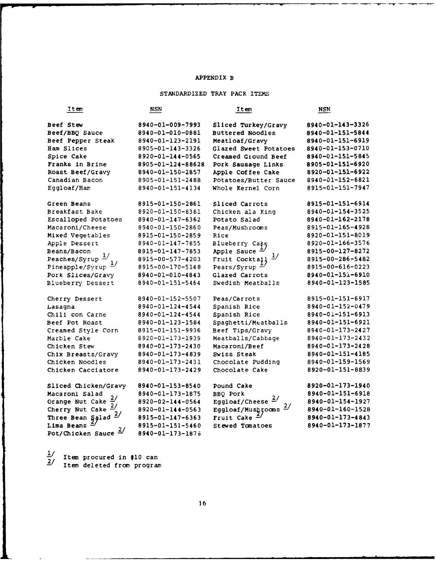#### APPENDIX B

#### STANDARDIZED TRAY PACK ITEMS

| Item                              | <b>NSN</b>        | Item                         | NSN              |
|-----------------------------------|-------------------|------------------------------|------------------|
| Beef Stew                         | 8940-01-009-7993  | Sliced Turkey/Gravy          | 8940-01-143-3326 |
| Beef/BBQ Sauce                    | 8940-01-010-0881  | <b>Buttered Noodles</b>      | 8940-01-151-5844 |
| Beef Pepper Steak                 | 8940-01-123-2191  | Meatloaf/Gravy               | 8940-01-151-6919 |
| Ham Slices                        | 8905-01-143-3326  | Glazed Sweet Potatoes        | 8940-01-153-0710 |
| Spice Cake                        | 8920-01-144-0565  | Creamed Ground Beef          | 8940-01-151-5845 |
| Franks in Brine                   | 8905-01-124-88628 | Pork Sausage Links           | 8905-01-151-6920 |
| Roast Beef/Gravy                  | 8940-01-150-2857  | Apple Coffee Cake            | 8920-01-151-6922 |
| Canadian Bacon                    | 8905-01-151-2488  | Potatoes/Butter Sauce        | 8940-01-152-6821 |
| Eggloaf/Ham                       | 8940-01-151-4134  | Whole Kernel Corn            | 8915-01-151-7947 |
| Green Beans                       | 8915-01-150-2861  | Sliced Carrots               | 8915-01-151-6914 |
| Breakfast Bake                    | 8920-01-150-8381  | Chicken ala King             | 8940-01-154-3525 |
| Escalloped Potatoes               | 8940-01-147-6362  | Potato Salad                 | 8940-01-162-2178 |
| Macaroni/Cheese                   | 8940-01-150-2860  | Peas/Mushrooms               | 8915-01-165-4928 |
| Mixed Vegetables                  | 8915-01-150-2859  | Rice                         | 8920-01-151-8019 |
| Apple Dessert                     | 8940-01-147-7855  | Blueberry Cake               | 8920-01-166-3576 |
| Beans/Bacon                       | 8915-01-147-7853  | Apple Sauce                  | 8915-00-127-8272 |
| Peaches/Syrup $\frac{1}{ }$       | 8915-00-577-4203  | Fruit Cocktail $\frac{1}{2}$ | 8915-00-286-5482 |
| Pineapple/Syrup $\frac{1}{2}$     | 8915-00-170-5148  | Pears/Syrup                  | 8915-00-616-0223 |
| Pork Slices/Gravy                 | 8940-01-010-4843  | Glazed Carrots               | 8940-01-151-6910 |
| Blueberry Dessert                 | 8940-01-151-5464  | Swedish Meatballs            | 8940-01-123-1585 |
| Cherry Dessert                    | 8940-01-152-5507  | Peas/Carrots                 | 8915-01-151-6917 |
| Lasagna                           | 8940-01-124-4544  | Spanish Rice                 | 8940-01-152-0479 |
| Chili con Carne                   | 8940-01-124-4544  | Spanish Rice                 | 8940-01-151-6913 |
| Beef Pot Roast                    | 8940-01-123-1584  | Spaghetti/Meatballs          | 8940-01-151-6921 |
| Creamed Style Corn                | 8915-01-151-9936  | Beef Tips/Gravy              | 8940-01-173-2427 |
| Marble Cake                       | 8920-01-173-1939  | Meatballs/Cabbage            | 8940-01-173-2432 |
| Chicken Stew                      | 8940-01-173-2430  | Macaroni/Beef                | 8940-01-173-2428 |
| Chix Breasts/Gravy                | 8940-01-173-4839  | Swiss Steak                  | 8940-01-151-4185 |
| Chicken Noodles                   | 8940-01-173-2431  | Chocolate Pudding            | 8940-01-159-1569 |
| Chicken Cacciatore                | 8940-01-173-2429  | Chocolate Cake               | 8920-01-151-8839 |
| Sliced Chicken/Gravy              | 8940-01-153-8540  | Pound Cake                   | 8920-01-173-1940 |
| Macaroni Salad<br>$\frac{2}{ }$   | 8940-01-173-1875  | <b>BBQ Pork</b>              | 8940-01-151-6918 |
| Orange Nut Cake                   | 8920-02-144-0564  | Eggloaf/Cheese $\frac{2}{ }$ | 8940-01-154-1927 |
| Cherry Nut Cake $\frac{2}{\zeta}$ | 8920-01-144-0563  | Eggloaf/Mushrooms            | 8940-01-160-1528 |
| Three Bean Salad $\frac{2}{ }$    | 8915-01-147-6363  | Fruit Cake                   | 8940-01-173-4843 |
| Lima Beans $4$                    | 8915-01-151-5460  | Stewed Tomatoes              | 8940-01-173-1877 |
| Pot/Chicken Sauce $\frac{2}{3}$   | 8940-01-173-1876  |                              |                  |

**-/** Item procured in **#10** can **-** Item deleted from program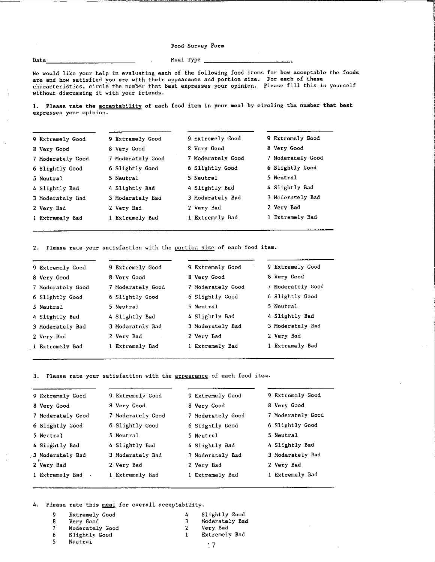Food Survey Form

 $Date$   $Med$   $Med$   $Med$   $Type$   $A$ 

We would like your help in evaluating each of the following food items for how acceptable the foods are and how satisfied you are with their appearance and portion size. For each of these characteristics, circle the number that best expresses your opinion. Please fill this in yourself without discussing it with your friends.

1. Please rate the **acceptability** of each food item in your meal by circling the number that best expresses your opinion.

| 9 Extremely Good  | 9 Extremely Good  | 9 Extremely Good  | 9 Extremely Good  |
|-------------------|-------------------|-------------------|-------------------|
| 8 Very Good       | 8 Very Good       | 8 Very Good       | 8 Very Good       |
| 7 Moderately Good | 7 Moderately Good | 7 Moderately Good | 7 Moderately Good |
| 6 Slightly Good   | 6 Slightly Good   | 6 Slightly Good   | 6 Slightly Good   |
| 5 Neutral         | 5 Neutral         | 5 Neutral         | 5 Neutral         |
| 4 Slightly Bad    | 4 Slightly Bad    | 4 Slightly Bad    | 4 Slightly Bad    |
| 3 Moderately Bad  | 3 Moderately Bad  | 3 Moderately Bad  | 3 Moderately Bad  |
| 2 Very Bad        | 2 Very Bad        | 2 Very Bad        | 2 Very Bad        |
| 1 Extremely Bad   | l Extremely Bad   | 1 Extremely Bad   | 1 Extremely Bad   |

2. Please rate your satisfaction with the portion size of each food item.

| 9 Extremely Good  | 9 Extremely Good  | 9 Extremely Good  | 9 Extremely Good  |
|-------------------|-------------------|-------------------|-------------------|
| 8 Very Good       | 8 Very Good       | 8 Very Good       | 8 Very Good       |
| 7 Moderately Good | 7 Moderately Good | 7 Moderately Good | 7 Moderately Good |
| 6 Slightly Good   | 6 Slightly Good   | 6 Slightly Good   | 6 Slightly Good   |
| 5 Neutral         | 5 Neutral         | 5 Neutral         | 5 Neutral         |
| 4 Slightly Bad    | 4 Slightly Bad    | 4 Slightly Bad    | 4 Slightly Bad    |
| 3 Moderately Bad  | 3 Moderately Bad  | 3 Moderately Bad  | 3 Moderately Bad  |
| 2 Very Bad        | 2 Very Bad        | 2 Very Bad        | 2 Very Bad        |
| 1 Extremely Bad   | 1 Extremely Bad   | 1 Extremely Bad   | 1 Extremely Bad   |
|                   |                   |                   |                   |

3. Please rate your satisfaction with the appearance of each food item.

| 9 Extremely Good  | 9 Extremely Good  | 9 Extremely Good  | 9 Extremely Good  |
|-------------------|-------------------|-------------------|-------------------|
| 8 Very Good       | 8 Very Good       | 8 Very Good       | 8 Very Good       |
| 7 Moderately Good | 7 Moderately Good | 7 Moderately Good | 7 Moderately Good |
| 6 Slightly Good   | 6 Slightly Good   | 6 Slightly Good   | 6 Slightly Good   |
| 5 Neutral         | 5 Neutral         | 5 Neutral         | 5 Neutral         |
| 4 Slightly Bad    | 4 Slightly Bad    | 4 Slightly Bad    | 4 Slightly Bad    |
| 3 Moderately Bad  | 3 Moderately Bad  | 3 Moderately Bad  | 3 Moderately Bad  |
| 2 Very Bad        | 2 Very Bad        | 2 Very Bad        | 2 Very Bad        |
| 1 Extremely Bad   | 1 Extremely Bad   | 1 Extremely Bad   | 1 Extremely Bad   |
|                   |                   |                   |                   |

 

4. Please rate this meal for overall acceptability.

- Extremely Good
- Very Good
- Moderately Good
- Slightly Good
- Neutral

Moderately Bad Very Bad

Slightly Good

 Extremely Bad